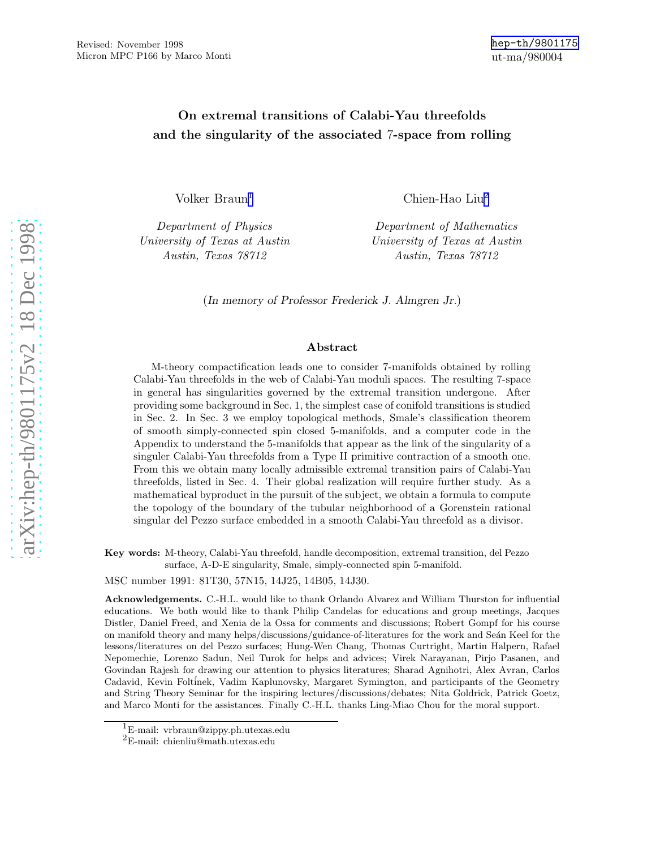# On extremal transitions of Calabi-Yau threefolds and the singularity of the associated 7-space from rolling

Volker Braun 1

Department of Physics University of Texas at Austin Austin, Texas 78712

Chien-Hao Liu 2

Department of Mathematics University of Texas at Austin Austin, Texas 78712

(In memory of Professor Frederick J. Almgren Jr. )

#### Abstract

M-theory compactification leads one to consider 7-manifolds obtained by rolling Calabi-Yau threefolds in the web of Calabi-Yau moduli spaces. The resulting 7-space in general has singularities governed by the extremal transition undergone. After providing some background in Sec. 1, the simplest case of conifold transitions is studied in Sec. 2. In Sec. 3 we employ topological methods, Smale's classification theorem of smooth simply-connected spin closed 5-manifolds, and a computer code in the Appendix to understand the 5-manifolds that appear as the link of the singularity of a singuler Calabi-Yau threefolds from a Type II primitive contraction of a smooth one. From this we obtain many locally admissible extremal transition pairs of Calabi-Yau threefolds, listed in Sec. 4. Their global realization will require further study. As a mathematical byproduct in the pursuit of the subject, we obtain a formula to compute the topology of the boundary of the tubular neighborhood of a Gorenstein rational singular del Pezzo surface embedded in a smooth Calabi-Yau threefold as a divisor.

Key words: M-theory, Calabi-Yau threefold, handle decomposition, extremal transition, del Pezzo surface, A-D-E singularity, Smale, simply-connected spin 5-manifold.

MSC number 1991: 81T30, 57N15, 14J25, 14B05, 14J30.

Acknowledgements. C.-H.L. would like to thank Orlando Alvarez and William Thurston for influential educations. We both would like to thank Philip Candelas for educations and group meetings, Jacques Distler, Daniel Freed, and Xenia de la Ossa for comments and discussions; Robert Gompf for his course on manifold theory and many helps/discussions/guidance-of-literatures for the work and Seán Keel for the lessons/literatures on del Pezzo surfaces; Hung-Wen Chang, Thomas Curtright, Martin Halpern, Rafael Nepomechie, Lorenzo Sadun, Neil Turok for helps and advices; Virek Narayanan, Pirjo Pasanen, and Govindan Rajesh for drawing our attention to physics literatures; Sharad Agnihotri, Alex Avran, Carlos Cadavid, Kevin Foltinek, Vadim Kaplunovsky, Margaret Symington, and participants of the Geometry and String Theory Seminar for the inspiring lectures/discussions/debates; Nita Goldrick, Patrick Goetz, and Marco Monti for the assistances. Finally C.-H.L. thanks Ling-Miao Chou for the moral support.

 $^1\mathrm{E}\text{-}\mathrm{mail:}$ vrbraun@zippy.ph.utexas.edu $^2\mathrm{E}\text{-}\mathrm{mail:}$ chienliu@math.utexas.edu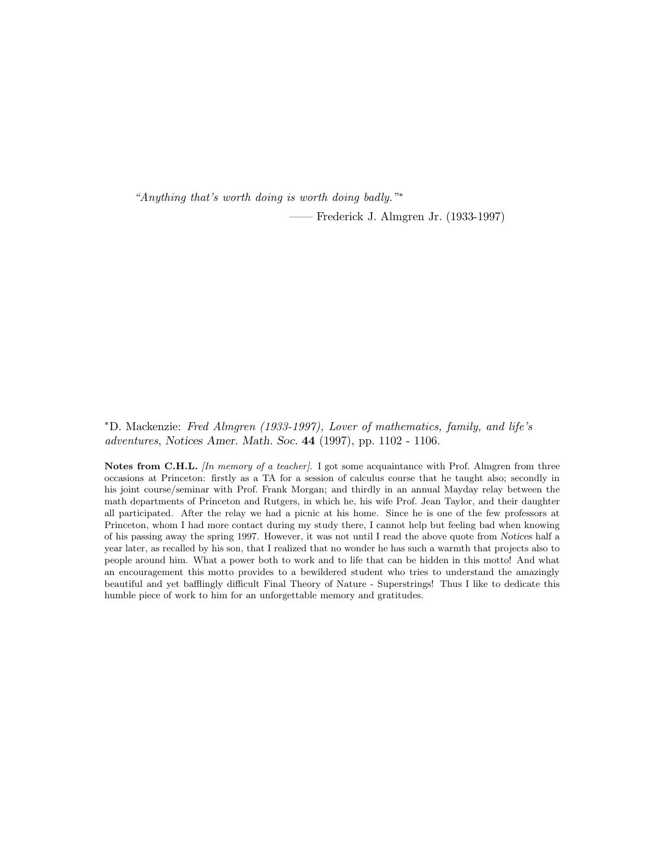"Anything that's worth doing is worth doing badly."∗

—— Frederick J. Almgren Jr. (1933-1997)

∗D. Mackenzie: Fred Almgren (1933-1997), Lover of mathematics, family, and life's adventures, Notices Amer. Math. Soc. 44 (1997), pp. 1102 - 1106.

Notes from C.H.L. *[In memory of a teacher]*. I got some acquaintance with Prof. Almgren from three occasions at Princeton: firstly as a TA for a session of calculus course that he taught also; secondly in his joint course/seminar with Prof. Frank Morgan; and thirdly in an annual Mayday relay between the math departments of Princeton and Rutgers, in which he, his wife Prof. Jean Taylor, and their daughter all participated. After the relay we had a picnic at his home. Since he is one of the few professors at Princeton, whom I had more contact during my study there, I cannot help but feeling bad when knowing of his passing away the spring 1997. However, it was not until I read the above quote from Notices half a year later, as recalled by his son, that I realized that no wonder he has such a warmth that projects also to people around him. What a power both to work and to life that can be hidden in this motto! And what an encouragement this motto provides to a bewildered student who tries to understand the amazingly beautiful and yet bafflingly difficult Final Theory of Nature - Superstrings! Thus I like to dedicate this humble piece of work to him for an unforgettable memory and gratitudes.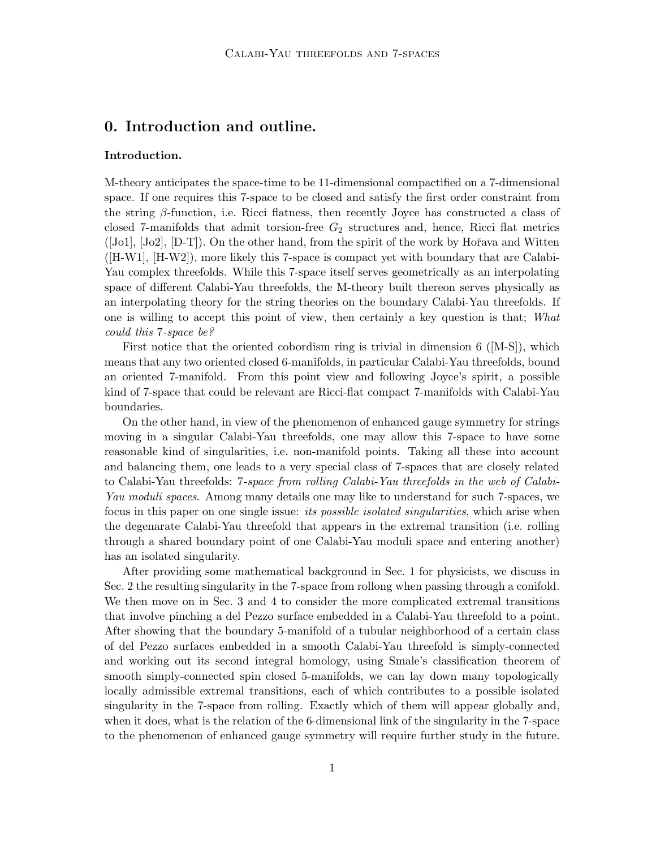# 0. Introduction and outline.

#### Introduction.

M-theory anticipates the space-time to be 11-dimensional compactified on a 7-dimensional space. If one requires this 7-space to be closed and satisfy the first order constraint from the string  $\beta$ -function, i.e. Ricci flatness, then recently Joyce has constructed a class of closed 7-manifolds that admit torsion-free  $G_2$  structures and, hence, Ricci flat metrics  $([J\text{ol}], [J\text{ol}], [D\text{-}T])$ . On the other hand, from the spirit of the work by Hořava and Witten ([H-W1], [H-W2]), more likely this 7-space is compact yet with boundary that are Calabi-Yau complex threefolds. While this 7-space itself serves geometrically as an interpolating space of different Calabi-Yau threefolds, the M-theory built thereon serves physically as an interpolating theory for the string theories on the boundary Calabi-Yau threefolds. If one is willing to accept this point of view, then certainly a key question is that; What could this 7-space be?

First notice that the oriented cobordism ring is trivial in dimension  $6$  ([M-S]), which means that any two oriented closed 6-manifolds, in particular Calabi-Yau threefolds, bound an oriented 7-manifold. From this point view and following Joyce's spirit, a possible kind of 7-space that could be relevant are Ricci-flat compact 7-manifolds with Calabi-Yau boundaries.

On the other hand, in view of the phenomenon of enhanced gauge symmetry for strings moving in a singular Calabi-Yau threefolds, one may allow this 7-space to have some reasonable kind of singularities, i.e. non-manifold points. Taking all these into account and balancing them, one leads to a very special class of 7-spaces that are closely related to Calabi-Yau threefolds: 7-space from rolling Calabi-Yau threefolds in the web of Calabi-Yau moduli spaces. Among many details one may like to understand for such 7-spaces, we focus in this paper on one single issue: *its possible isolated singularities*, which arise when the degenarate Calabi-Yau threefold that appears in the extremal transition (i.e. rolling through a shared boundary point of one Calabi-Yau moduli space and entering another) has an isolated singularity.

After providing some mathematical background in Sec. 1 for physicists, we discuss in Sec. 2 the resulting singularity in the 7-space from rollong when passing through a conifold. We then move on in Sec. 3 and 4 to consider the more complicated extremal transitions that involve pinching a del Pezzo surface embedded in a Calabi-Yau threefold to a point. After showing that the boundary 5-manifold of a tubular neighborhood of a certain class of del Pezzo surfaces embedded in a smooth Calabi-Yau threefold is simply-connected and working out its second integral homology, using Smale's classification theorem of smooth simply-connected spin closed 5-manifolds, we can lay down many topologically locally admissible extremal transitions, each of which contributes to a possible isolated singularity in the 7-space from rolling. Exactly which of them will appear globally and, when it does, what is the relation of the 6-dimensional link of the singularity in the 7-space to the phenomenon of enhanced gauge symmetry will require further study in the future.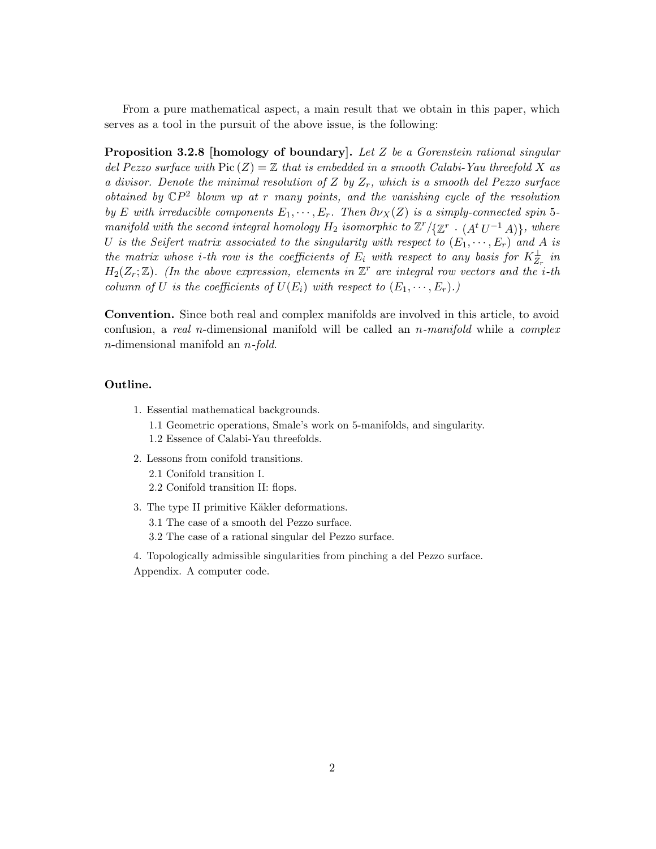From a pure mathematical aspect, a main result that we obtain in this paper, which serves as a tool in the pursuit of the above issue, is the following:

**Proposition 3.2.8 [homology of boundary].** Let  $Z$  be a Gorenstein rational singular del Pezzo surface with  $Pic(Z) = \mathbb{Z}$  that is embedded in a smooth Calabi-Yau threefold X as a divisor. Denote the minimal resolution of Z by  $Z_r$ , which is a smooth del Pezzo surface obtained by  $\mathbb{C}P^2$  blown up at r many points, and the vanishing cycle of the resolution by E with irreducible components  $E_1, \dots, E_r$ . Then  $\partial \nu_X(Z)$  is a simply-connected spin 5manifold with the second integral homology  $H_2$  isomorphic to  $\mathbb{Z}^r/\{\mathbb{Z}^r \cdot (A^t U^{-1} A)\}$ , where U is the Seifert matrix associated to the singularity with respect to  $(E_1, \dots, E_r)$  and A is the matrix whose *i*-th row is the coefficients of  $E_i$  with respect to any basis for  $K_{Z_r}^{\perp}$  in  $H_2(Z_r;\mathbb{Z})$ . (In the above expression, elements in  $\mathbb{Z}^r$  are integral row vectors and the *i*-th column of U is the coefficients of  $U(E_i)$  with respect to  $(E_1, \dots, E_r)$ .

Convention. Since both real and complex manifolds are involved in this article, to avoid confusion, a real n-dimensional manifold will be called an  $n$ -manifold while a complex n-dimensional manifold an n-fold.

### Outline.

- 1. Essential mathematical backgrounds.
	- 1.1 Geometric operations, Smale's work on 5-manifolds, and singularity.
	- 1.2 Essence of Calabi-Yau threefolds.
- 2. Lessons from conifold transitions.
	- 2.1 Conifold transition I.
	- 2.2 Conifold transition II: flops.
- 3. The type II primitive Käkler deformations. 3.1 The case of a smooth del Pezzo surface. 3.2 The case of a rational singular del Pezzo surface.

4. Topologically admissible singularities from pinching a del Pezzo surface. Appendix. A computer code.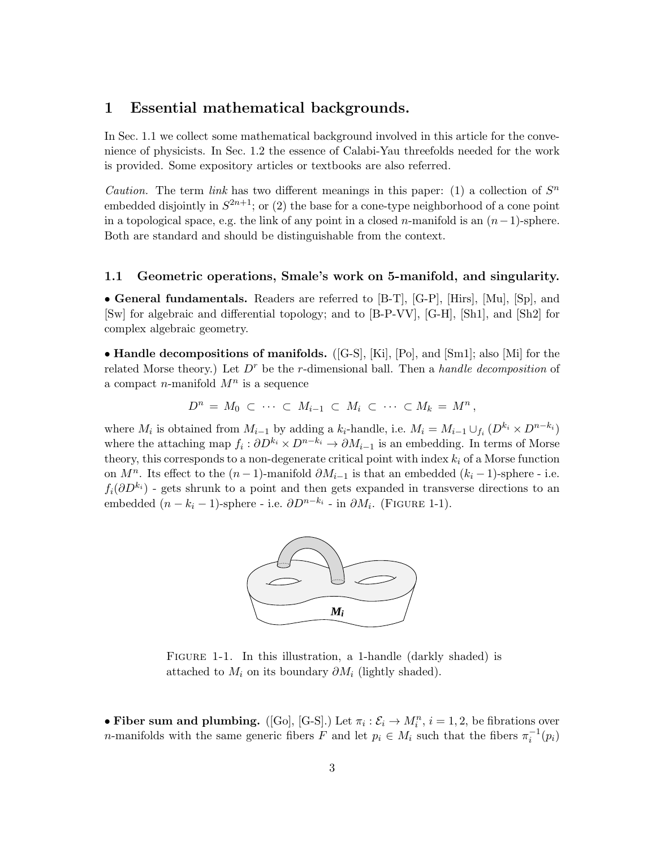## 1 Essential mathematical backgrounds.

In Sec. 1.1 we collect some mathematical background involved in this article for the convenience of physicists. In Sec. 1.2 the essence of Calabi-Yau threefolds needed for the work is provided. Some expository articles or textbooks are also referred.

*Caution*. The term *link* has two different meanings in this paper: (1) a collection of  $S<sup>n</sup>$ embedded disjointly in  $S^{2n+1}$ ; or (2) the base for a cone-type neighborhood of a cone point in a topological space, e.g. the link of any point in a closed n-manifold is an  $(n-1)$ -sphere. Both are standard and should be distinguishable from the context.

### 1.1 Geometric operations, Smale's work on 5-manifold, and singularity.

• General fundamentals. Readers are referred to [B-T], [G-P], [Hirs], [Mu], [Sp], and [Sw] for algebraic and differential topology; and to [B-P-VV], [G-H], [Sh1], and [Sh2] for complex algebraic geometry.

• Handle decompositions of manifolds. ([G-S], [Ki], [Po], and [Sm1]; also [Mi] for the related Morse theory.) Let  $D<sup>r</sup>$  be the r-dimensional ball. Then a handle decomposition of a compact *n*-manifold  $M^n$  is a sequence

$$
D^n = M_0 \subset \cdots \subset M_{i-1} \subset M_i \subset \cdots \subset M_k = M^n,
$$

where  $M_i$  is obtained from  $M_{i-1}$  by adding a  $k_i$ -handle, i.e.  $M_i = M_{i-1} \cup_{f_i} (D^{k_i} \times D^{n-k_i})$ where the attaching map  $f_i: \partial D^{k_i} \times D^{n-k_i} \to \partial M_{i-1}$  is an embedding. In terms of Morse theory, this corresponds to a non-degenerate critical point with index  $k_i$  of a Morse function on  $M^n$ . Its effect to the  $(n-1)$ -manifold  $\partial M_{i-1}$  is that an embedded  $(k_i-1)$ -sphere - i.e.  $f_i(\partial D^{k_i})$  - gets shrunk to a point and then gets expanded in transverse directions to an embedded  $(n - k_i - 1)$ -sphere - i.e.  $\partial D^{n-k_i}$  - in  $\partial M_i$ . (FIGURE 1-1).



FIGURE 1-1. In this illustration, a 1-handle (darkly shaded) is attached to  $M_i$  on its boundary  $\partial M_i$  (lightly shaded).

• Fiber sum and plumbing. ([Go], [G-S].) Let  $\pi_i : \mathcal{E}_i \to M_i^n$ ,  $i = 1, 2$ , be fibrations over *n*-manifolds with the same generic fibers  $F$  and let  $p_i \in M_i$  such that the fibers  $\pi_i^{-1}(p_i)$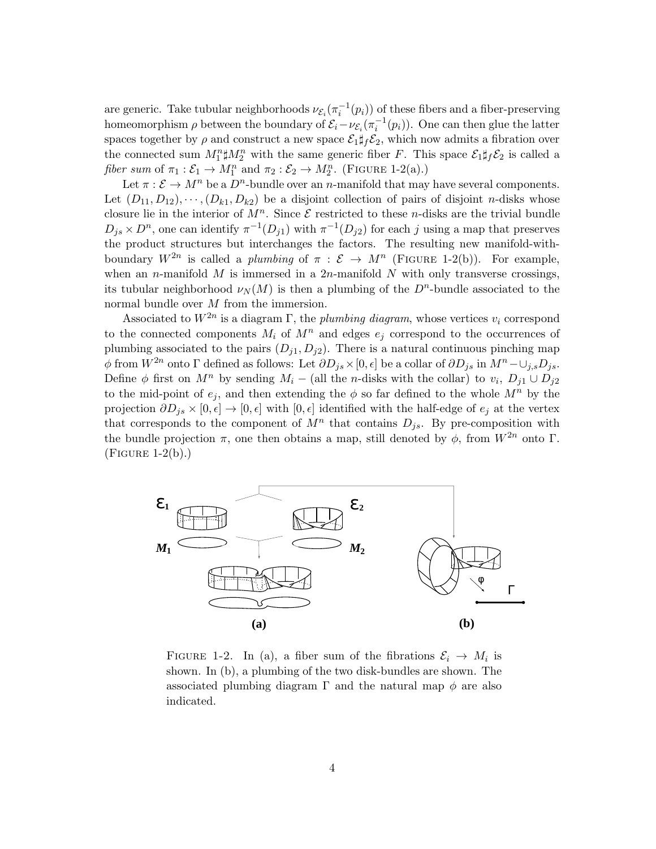are generic. Take tubular neighborhoods  $\nu_{\mathcal{E}_i}(\pi_i^{-1}(p_i))$  of these fibers and a fiber-preserving homeomorphism  $\rho$  between the boundary of  $\mathcal{E}_i - \nu_{\mathcal{E}_i}(\pi_i^{-1}(p_i))$ . One can then glue the latter spaces together by  $\rho$  and construct a new space  $\mathcal{E}_1 \sharp_f \mathcal{E}_2$ , which now admits a fibration over the connected sum  $M_1^n \sharp M_2^n$  with the same generic fiber F. This space  $\mathcal{E}_1 \sharp_f \mathcal{E}_2$  is called a fiber sum of  $\pi_1 : \mathcal{E}_1 \to M_1^n$  and  $\pi_2 : \mathcal{E}_2 \to M_2^n$ . (FIGURE 1-2(a).)

Let  $\pi : \mathcal{E} \to M^n$  be a  $D^n$ -bundle over an n-manifold that may have several components. Let  $(D_{11}, D_{12}), \cdots, (D_{k1}, D_{k2})$  be a disjoint collection of pairs of disjoint *n*-disks whose closure lie in the interior of  $M^n$ . Since  $\mathcal E$  restricted to these *n*-disks are the trivial bundle  $D_{j,s} \times D^n$ , one can identify  $\pi^{-1}(D_{j1})$  with  $\pi^{-1}(D_{j2})$  for each j using a map that preserves the product structures but interchanges the factors. The resulting new manifold-withboundary  $W^{2n}$  is called a *plumbing* of  $\pi : \mathcal{E} \to M^n$  (FIGURE 1-2(b)). For example, when an n-manifold M is immersed in a  $2n$ -manifold N with only transverse crossings, its tubular neighborhood  $\nu_N(M)$  is then a plumbing of the  $D^n$ -bundle associated to the normal bundle over M from the immersion.

Associated to  $W^{2n}$  is a diagram  $\Gamma$ , the plumbing diagram, whose vertices  $v_i$  correspond to the connected components  $M_i$  of  $M^n$  and edges  $e_j$  correspond to the occurrences of plumbing associated to the pairs  $(D_{i1}, D_{i2})$ . There is a natural continuous pinching map φ from  $W^{2n}$  onto Γ defined as follows: Let  $\partial D_{js} \times [0, \epsilon]$  be a collar of  $\partial D_{js}$  in  $M^n - \cup_{j,s} D_{js}$ . Define  $\phi$  first on  $M^n$  by sending  $M_i$  – (all the n-disks with the collar) to  $v_i$ ,  $D_{j1} \cup D_{j2}$ to the mid-point of  $e_j$ , and then extending the  $\phi$  so far defined to the whole  $M^n$  by the projection  $\partial D_{i,s} \times [0, \epsilon] \to [0, \epsilon]$  with  $[0, \epsilon]$  identified with the half-edge of  $e_i$  at the vertex that corresponds to the component of  $M^n$  that contains  $D_{js}$ . By pre-composition with the bundle projection  $\pi$ , one then obtains a map, still denoted by  $\phi$ , from  $W^{2n}$  onto Γ.  $(FIGURE 1-2(b))$ .



FIGURE 1-2. In (a), a fiber sum of the fibrations  $\mathcal{E}_i \to M_i$  is shown. In (b), a plumbing of the two disk-bundles are shown. The associated plumbing diagram  $\Gamma$  and the natural map  $\phi$  are also indicated.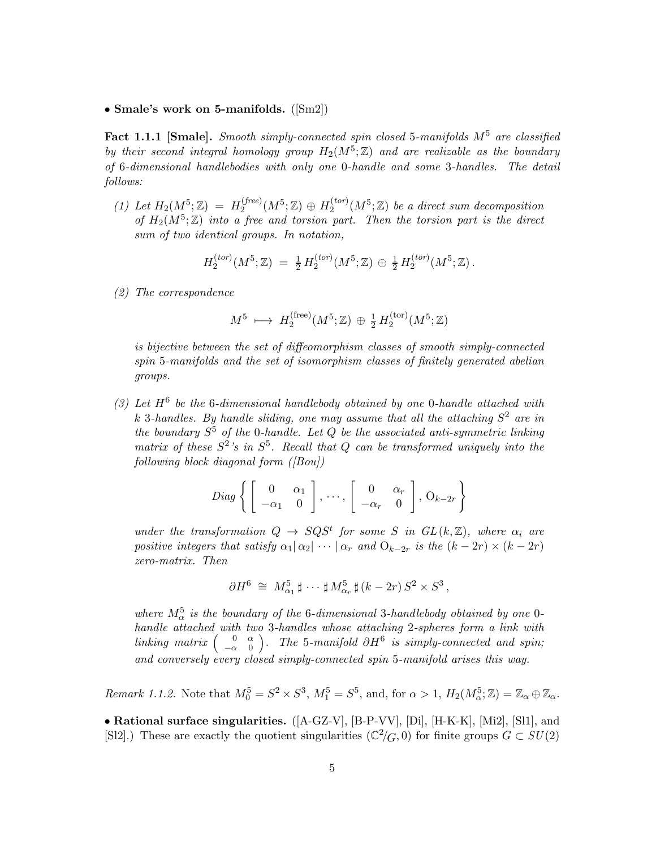#### • Smale's work on 5-manifolds. ([Sm2])

**Fact 1.1.1 [Smale].** Smooth simply-connected spin closed 5-manifolds  $M^5$  are classified by their second integral homology group  $H_2(M^5; \mathbb{Z})$  and are realizable as the boundary of 6-dimensional handlebodies with only one 0-handle and some 3-handles. The detail follows:

(1) Let  $H_2(M^5; \mathbb{Z}) = H_2^{(free)}$  $H_2^{(free)}(M^5;\mathbb{Z})\,\oplus\, H_2^{(tor)}$  $\chi_2^{(tor)}(M^5; \mathbb{Z})$  be a direct sum decomposition of  $H_2(M^5; \mathbb{Z})$  into a free and torsion part. Then the torsion part is the direct sum of two identical groups. In notation,

$$
H_2^{(tor)}(M^5; \mathbb{Z}) = \frac{1}{2} H_2^{(tor)}(M^5; \mathbb{Z}) \oplus \frac{1}{2} H_2^{(tor)}(M^5; \mathbb{Z}).
$$

(2) The correspondence

$$
M^5 \, \longmapsto \, H_2^{\text{(free)}}(M^5; \mathbb{Z}) \, \oplus \, \tfrac{1}{2} \, H_2^{\text{(tor)}}(M^5; \mathbb{Z})
$$

is bijective between the set of diffeomorphism classes of smooth simply-connected spin 5-manifolds and the set of isomorphism classes of finitely generated abelian groups.

(3) Let  $H^6$  be the 6-dimensional handlebody obtained by one 0-handle attached with k 3-handles. By handle sliding, one may assume that all the attaching  $S^2$  are in the boundary  $S^5$  of the 0-handle. Let  $Q$  be the associated anti-symmetric linking matrix of these  $S^2$ 's in  $S^5$ . Recall that Q can be transformed uniquely into the following block diagonal form  $([Bou])$ 

$$
Diag\left\{ \left[\begin{array}{cc} 0 & \alpha_1 \\ -\alpha_1 & 0 \end{array}\right], \dots, \left[\begin{array}{cc} 0 & \alpha_r \\ -\alpha_r & 0 \end{array}\right], \mathcal{O}_{k-2r} \right\}
$$

under the transformation  $Q \to SQS^t$  for some S in  $GL(k, \mathbb{Z})$ , where  $\alpha_i$  are positive integers that satisfy  $\alpha_1|\alpha_2|\cdots|\alpha_r$  and  $O_{k-2r}$  is the  $(k-2r)\times(k-2r)$ zero-matrix. Then

$$
\partial H^6 \cong M_{\alpha_1}^5 \sharp \cdots \sharp M_{\alpha_r}^5 \sharp (k-2r) S^2 \times S^3,
$$

where  $M_{\alpha}^{5}$  is the boundary of the 6-dimensional 3-handlebody obtained by one 0handle attached with two 3-handles whose attaching 2-spheres form a link with linking matrix  $\begin{pmatrix} 0 & \alpha \\ -\alpha & 0 \end{pmatrix}$  $-\alpha$  0 ). The 5-manifold  $\partial H^6$  is simply-connected and spin; and conversely every closed simply-connected spin 5-manifold arises this way.

Remark 1.1.2. Note that  $M_0^5 = S^2 \times S^3$ ,  $M_1^5 = S^5$ , and, for  $\alpha > 1$ ,  $H_2(M_\alpha^5; \mathbb{Z}) = \mathbb{Z}_\alpha \oplus \mathbb{Z}_\alpha$ .

• Rational surface singularities. ([A-GZ-V], [B-P-VV], [Di], [H-K-K], [Mi2], [Sl1], and [Sl2].) These are exactly the quotient singularities  $(\mathbb{C}^2/G, 0)$  for finite groups  $G \subset SU(2)$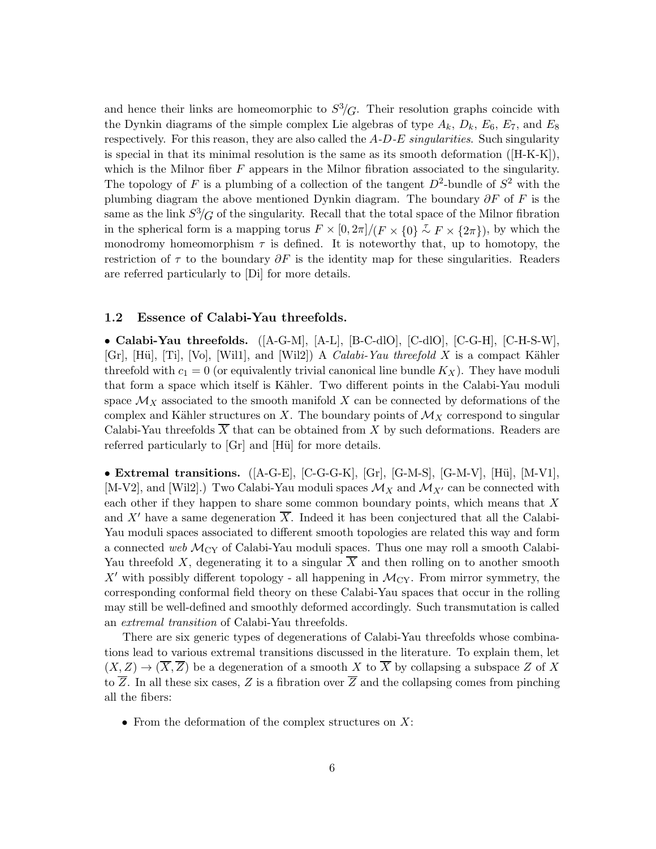and hence their links are homeomorphic to  $S^3/G$ . Their resolution graphs coincide with the Dynkin diagrams of the simple complex Lie algebras of type  $A_k$ ,  $D_k$ ,  $E_6$ ,  $E_7$ , and  $E_8$ respectively. For this reason, they are also called the  $A-D-E$  singularities. Such singularity is special in that its minimal resolution is the same as its smooth deformation ([H-K-K]), which is the Milnor fiber  $F$  appears in the Milnor fibration associated to the singularity. The topology of F is a plumbing of a collection of the tangent  $D^2$ -bundle of  $S^2$  with the plumbing diagram the above mentioned Dynkin diagram. The boundary  $\partial F$  of F is the same as the link  $S^3/G$  of the singularity. Recall that the total space of the Milnor fibration in the spherical form is a mapping torus  $F \times [0, 2\pi]/(F \times \{0\} \sim F \times \{2\pi\})$ , by which the monodromy homeomorphism  $\tau$  is defined. It is noteworthy that, up to homotopy, the restriction of  $\tau$  to the boundary  $\partial F$  is the identity map for these singularities. Readers are referred particularly to [Di] for more details.

### 1.2 Essence of Calabi-Yau threefolds.

• Calabi-Yau threefolds. ([A-G-M], [A-L], [B-C-dlO], [C-dlO], [C-G-H], [C-H-S-W], [Gr], [Hü], [Ti], [Vo], [Wil1], and [Wil2]) A *Calabi-Yau threefold X* is a compact Kähler threefold with  $c_1 = 0$  (or equivalently trivial canonical line bundle  $K_X$ ). They have moduli that form a space which itself is Kähler. Two different points in the Calabi-Yau moduli space  $\mathcal{M}_X$  associated to the smooth manifold X can be connected by deformations of the complex and Kähler structures on X. The boundary points of  $\mathcal{M}_X$  correspond to singular Calabi-Yau threefolds  $\overline{X}$  that can be obtained from X by such deformations. Readers are referred particularly to [Gr] and [Hü] for more details.

• Extremal transitions.  $([A-G-E], [C-G-G-K], [Gr], [G-M-S], [G-M-V], [Hü], [M-V1],$ [M-V2], and [Wil2].) Two Calabi-Yau moduli spaces  $\mathcal{M}_X$  and  $\mathcal{M}_{X'}$  can be connected with each other if they happen to share some common boundary points, which means that X and X' have a same degeneration  $\overline{X}$ . Indeed it has been conjectured that all the Calabi-Yau moduli spaces associated to different smooth topologies are related this way and form a connected web  $\mathcal{M}_{CY}$  of Calabi-Yau moduli spaces. Thus one may roll a smooth Calabi-Yau threefold X, degenerating it to a singular  $\overline{X}$  and then rolling on to another smooth  $X'$  with possibly different topology - all happening in  $\mathcal{M}_{CY}$ . From mirror symmetry, the corresponding conformal field theory on these Calabi-Yau spaces that occur in the rolling may still be well-defined and smoothly deformed accordingly. Such transmutation is called an extremal transition of Calabi-Yau threefolds.

There are six generic types of degenerations of Calabi-Yau threefolds whose combinations lead to various extremal transitions discussed in the literature. To explain them, let  $(X, Z) \to (\overline{X}, \overline{Z})$  be a degeneration of a smooth X to  $\overline{X}$  by collapsing a subspace Z of X to  $\overline{Z}$ . In all these six cases, Z is a fibration over  $\overline{Z}$  and the collapsing comes from pinching all the fibers:

• From the deformation of the complex structures on  $X$ :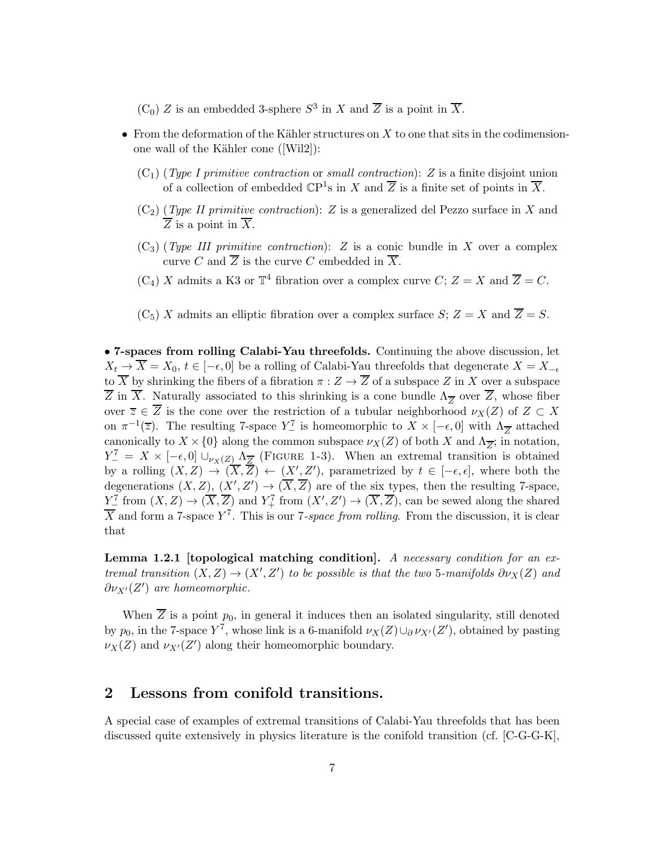$(C_0)$  Z is an embedded 3-sphere  $S^3$  in X and  $\overline{Z}$  is a point in  $\overline{X}$ .

- From the deformation of the Kähler structures on  $X$  to one that sits in the codimensionone wall of the Kähler cone ([Wil2]):
	- $(C_1)$  (Type I primitive contraction or small contraction): Z is a finite disjoint union of a collection of embedded  $\mathbb{C}P^1$ s in X and  $\overline{Z}$  is a finite set of points in  $\overline{X}$ .
	- $(C_2)$  (Type II primitive contraction): Z is a generalized del Pezzo surface in X and  $\overline{Z}$  is a point in  $\overline{X}$ .
	- $(C_3)$  (Type III primitive contraction): Z is a conic bundle in X over a complex curve C and  $\overline{Z}$  is the curve C embedded in  $\overline{X}$ .
	- $(C_4)$  X admits a K3 or  $\mathbb{T}^4$  fibration over a complex curve  $C; Z = X$  and  $\overline{Z} = C$ .
	- $(C_5)$  X admits an elliptic fibration over a complex surface S;  $Z = X$  and  $\overline{Z} = S$ .

• 7-spaces from rolling Calabi-Yau threefolds. Continuing the above discussion, let  $X_t \to \overline{X} = X_0, t \in [-\epsilon, 0]$  be a rolling of Calabi-Yau threefolds that degenerate  $X = X_{-\epsilon}$ to  $\overline{X}$  by shrinking the fibers of a fibration  $\pi: Z \to \overline{Z}$  of a subspace Z in X over a subspace Z in X. Naturally associated to this shrinking is a cone bundle  $\Lambda_{\overline{Z}}$  over Z, whose fiber over  $\overline{z} \in \overline{Z}$  is the cone over the restriction of a tubular neighborhood  $\nu_X(Z)$  of  $Z \subset X$ on  $\pi^{-1}(\overline{z})$ . The resulting 7-space  $Y_{-}^{\tau}$  is homeomorphic to  $X \times [-\epsilon, 0]$  with  $\Lambda_{\overline{Z}}$  attached canonically to  $X \times \{0\}$  along the common subspace  $\nu_X(Z)$  of both X and  $\Lambda_{\overline{Z}}$ ; in notation,  $Y_{-}^{7} = X \times [-\epsilon, 0] \cup_{\nu_{X}(Z)} \Lambda_{\overline{Z}}$  (FIGURE 1-3). When an extremal transition is obtained by a rolling  $(X, Z) \to (X, Z) \leftarrow (X', Z')$ , parametrized by  $t \in [-\epsilon, \epsilon]$ , where both the degenerations  $(X, Z)$ ,  $(X', Z') \to (X, Z)$  are of the six types, then the resulting 7-space,  $Y^7_-\text{ from }(X,Z)\to (\overline{X},\overline{Z})$  and  $Y^7_+\text{ from }(X',Z')\to (\overline{X},\overline{Z})$ , can be sewed along the shared  $\overline{X}$  and form a 7-space  $Y^7$ . This is our 7-space from rolling. From the discussion, it is clear that

**Lemma 1.2.1 [topological matching condition].** A necessary condition for an extremal transition  $(X, Z) \to (X', Z')$  to be possible is that the two 5-manifolds  $\partial \nu_X(Z)$  and  $\partial \nu_{X'}(Z')$  are homeomorphic.

When  $\overline{Z}$  is a point  $p_0$ , in general it induces then an isolated singularity, still denoted by  $p_0$ , in the 7-space Y<sup>7</sup>, whose link is a 6-manifold  $\nu_X(Z) \cup_{\partial} \nu_{X'}(Z')$ , obtained by pasting  $\nu_X(Z)$  and  $\nu_{X'}(Z')$  along their homeomorphic boundary.

## 2 Lessons from conifold transitions.

A special case of examples of extremal transitions of Calabi-Yau threefolds that has been discussed quite extensively in physics literature is the conifold transition (cf. [C-G-G-K],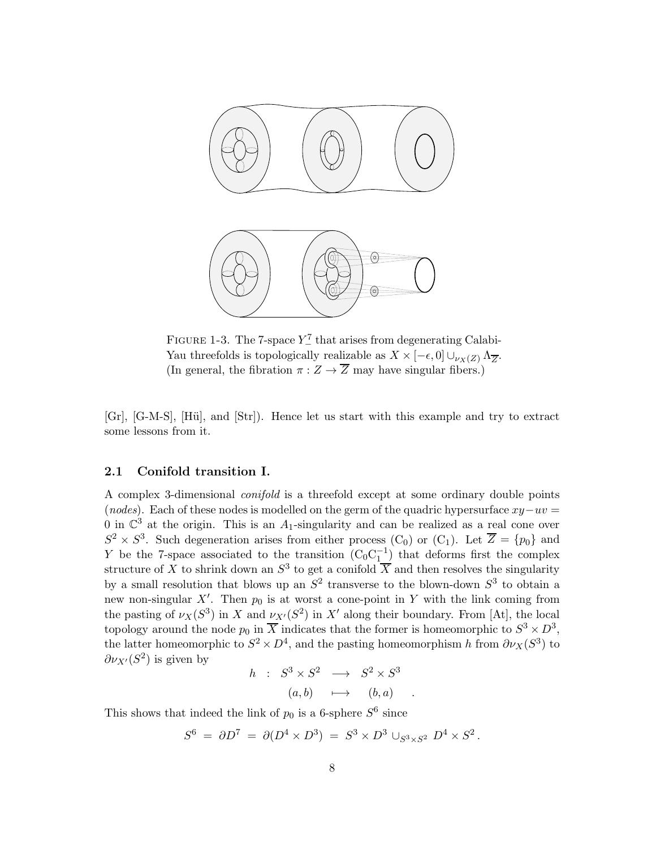

FIGURE 1-3. The 7-space  $Y_{-}^{7}$  that arises from degenerating Calabi-Yau threefolds is topologically realizable as  $X \times [-\epsilon, 0] \cup_{\nu_X(Z)} \Lambda_{\overline{Z}}$ . (In general, the fibration  $\pi: Z \to \overline{Z}$  may have singular fibers.)

[Gr], [G-M-S], [H¨u], and [Str]). Hence let us start with this example and try to extract some lessons from it.

### 2.1 Conifold transition I.

A complex 3-dimensional conifold is a threefold except at some ordinary double points (nodes). Each of these nodes is modelled on the germ of the quadric hypersurface  $xy-uv =$ 0 in  $\mathbb{C}^3$  at the origin. This is an  $A_1$ -singularity and can be realized as a real cone over  $S^2 \times S^3$ . Such degeneration arises from either process (C<sub>0</sub>) or (C<sub>1</sub>). Let  $\overline{Z} = \{p_0\}$  and Y be the 7-space associated to the transition  $(C_0C_1^{-1})$  that deforms first the complex structure of X to shrink down an  $S^3$  to get a conifold  $\overline{X}$  and then resolves the singularity by a small resolution that blows up an  $S^2$  transverse to the blown-down  $S^3$  to obtain a new non-singular  $X'$ . Then  $p_0$  is at worst a cone-point in Y with the link coming from the pasting of  $\nu_X(S^3)$  in X and  $\nu_{X'}(S^2)$  in X' along their boundary. From [At], the local topology around the node  $p_0$  in  $\overline{X}$  indicates that the former is homeomorphic to  $S^3 \times D^3$ , the latter homeomorphic to  $S^2 \times D^4$ , and the pasting homeomorphism h from  $\partial \nu_X(S^3)$  to  $\partial \nu_{X'}(S^2)$  is given by

$$
h : S^3 \times S^2 \longrightarrow S^2 \times S^3
$$
  

$$
(a, b) \longmapsto (b, a) .
$$

This shows that indeed the link of  $p_0$  is a 6-sphere  $S^6$  since

$$
S^6 = \partial D^7 = \partial (D^4 \times D^3) = S^3 \times D^3 \cup_{S^3 \times S^2} D^4 \times S^2.
$$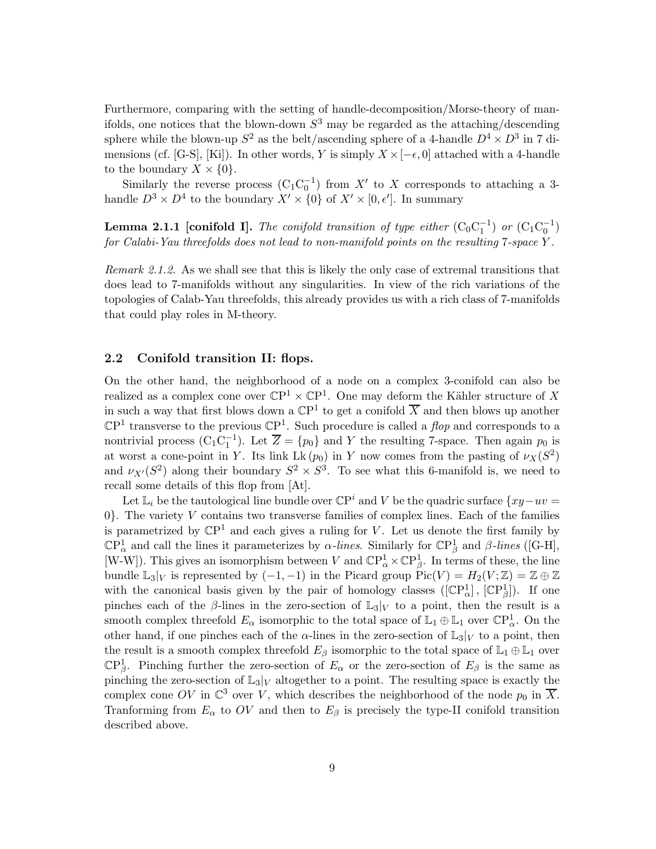Furthermore, comparing with the setting of handle-decomposition/Morse-theory of manifolds, one notices that the blown-down  $S^3$  may be regarded as the attaching/descending sphere while the blown-up  $S^2$  as the belt/ascending sphere of a 4-handle  $D^4 \times D^3$  in 7 dimensions (cf. [G-S], [Ki]). In other words, Y is simply  $X \times [-\epsilon, 0]$  attached with a 4-handle to the boundary  $X \times \{0\}$ .

Similarly the reverse process  $(C_1C_0^{-1})$  from X' to X corresponds to attaching a 3handle  $D^3 \times D^4$  to the boundary  $X' \times \{0\}$  of  $X' \times [0, \epsilon']$ . In summary

**Lemma 2.1.1** [conifold I]. The conifold transition of type either  $(C_0C_1^{-1})$  or  $(C_1C_0^{-1})$ for Calabi-Yau threefolds does not lead to non-manifold points on the resulting 7-space Y .

Remark 2.1.2. As we shall see that this is likely the only case of extremal transitions that does lead to 7-manifolds without any singularities. In view of the rich variations of the topologies of Calab-Yau threefolds, this already provides us with a rich class of 7-manifolds that could play roles in M-theory.

### 2.2 Conifold transition II: flops.

On the other hand, the neighborhood of a node on a complex 3-conifold can also be realized as a complex cone over  $\mathbb{C}P^1 \times \mathbb{C}P^1$ . One may deform the Kähler structure of X in such a way that first blows down a  $\mathbb{C}P^1$  to get a conifold  $\overline{X}$  and then blows up another  $\mathbb{C}P^1$  transverse to the previous  $\mathbb{C}P^1$ . Such procedure is called a *flop* and corresponds to a nontrivial process  $(C_1C_1^{-1})$ . Let  $\overline{Z} = \{p_0\}$  and Y the resulting 7-space. Then again  $p_0$  is at worst a cone-point in Y. Its link Lk( $p_0$ ) in Y now comes from the pasting of  $\nu_X(S^2)$ and  $\nu_{X'}(S^2)$  along their boundary  $S^2 \times S^3$ . To see what this 6-manifold is, we need to recall some details of this flop from [At].

Let  $\mathbb{L}_i$  be the tautological line bundle over  $\mathbb{C}P^i$  and V be the quadric surface  $\{xy - uv =$  $0$ }. The variety V contains two transverse families of complex lines. Each of the families is parametrized by  $\mathbb{C}P^1$  and each gives a ruling for V. Let us denote the first family by  $\mathbb{CP}^1_\alpha$  and call the lines it parameterizes by  $\alpha$ -lines. Similarly for  $\mathbb{CP}^1_\beta$  and  $\beta$ -lines ([G-H], [W-W]). This gives an isomorphism between V and  $\mathbb{C}P^1_\alpha \times \mathbb{C}P^1_\beta$ . In terms of these, the line bundle  $\mathbb{L}_3|_V$  is represented by  $(-1,-1)$  in the Picard group  $Pic(V) = H_2(V;\mathbb{Z}) = \mathbb{Z} \oplus \mathbb{Z}$ with the canonical basis given by the pair of homology classes  $([\mathbb{CP}^1_\alpha], [\mathbb{CP}^1_\beta])$ . If one pinches each of the β-lines in the zero-section of  $\mathbb{L}_3|_V$  to a point, then the result is a smooth complex threefold  $E_{\alpha}$  isomorphic to the total space of  $\mathbb{L}_1 \oplus \mathbb{L}_1$  over  $\mathbb{C}P^1_{\alpha}$ . On the other hand, if one pinches each of the  $\alpha$ -lines in the zero-section of  $\mathbb{L}_3|_V$  to a point, then the result is a smooth complex threefold  $E_\beta$  isomorphic to the total space of  $\mathbb{L}_1 \oplus \mathbb{L}_1$  over  $\mathbb{C}P^1_{\beta}$ . Pinching further the zero-section of  $E_{\alpha}$  or the zero-section of  $E_{\beta}$  is the same as pinching the zero-section of  $\mathbb{L}_3|_V$  altogether to a point. The resulting space is exactly the complex cone OV in  $\mathbb{C}^3$  over V, which describes the neighborhood of the node  $p_0$  in  $\overline{X}$ . Tranforming from  $E_{\alpha}$  to OV and then to  $E_{\beta}$  is precisely the type-II conifold transition described above.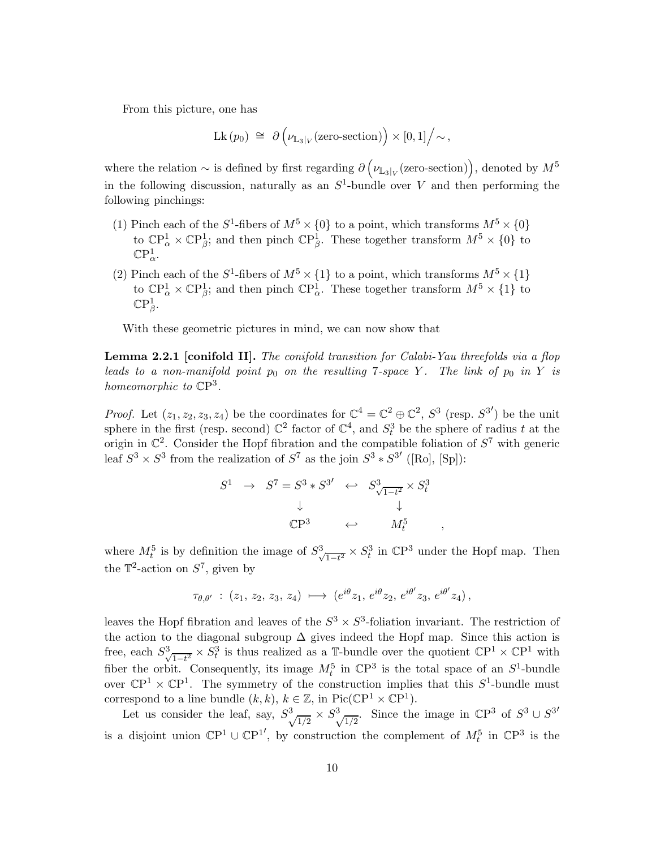From this picture, one has

$$
Lk (p_0) \cong \partial \left( \nu_{\mathbb{L}_3|_V}(\text{zero-section}) \right) \times [0,1] \Big/ \sim,
$$

where the relation  $\sim$  is defined by first regarding  $\partial \left(\nu_{\mathbb{L}_3|_V}(\text{zero-section})\right)$ , denoted by  $M^5$ in the following discussion, naturally as an  $S^1$ -bundle over V and then performing the following pinchings:

- (1) Pinch each of the  $S^1$ -fibers of  $M^5 \times \{0\}$  to a point, which transforms  $M^5 \times \{0\}$ to  $\mathbb{C}P^1_\alpha \times \mathbb{C}P^1_\beta$ ; and then pinch  $\mathbb{C}P^1_\beta$ . These together transform  $M^5 \times \{0\}$  to  $\mathbb{C}P^1_\alpha.$
- (2) Pinch each of the  $S^1$ -fibers of  $M^5 \times \{1\}$  to a point, which transforms  $M^5 \times \{1\}$ to  $\mathbb{C}P^1_\alpha \times \mathbb{C}P^1_\beta$ ; and then pinch  $\mathbb{C}P^1_\alpha$ . These together transform  $M^5 \times \{1\}$  to  $\mathbb{C}\mathrm{P}^1_\beta.$

With these geometric pictures in mind, we can now show that

**Lemma 2.2.1** [conifold II]. The conifold transition for Calabi-Yau threefolds via a flop leads to a non-manifold point  $p_0$  on the resulting 7-space Y. The link of  $p_0$  in Y is homeomorphic to  $\mathbb{C}P^3$ .

*Proof.* Let  $(z_1, z_2, z_3, z_4)$  be the coordinates for  $\mathbb{C}^4 = \mathbb{C}^2 \oplus \mathbb{C}^2$ ,  $S^3$  (resp.  $S^{3'}$ ) be the unit sphere in the first (resp. second)  $\mathbb{C}^2$  factor of  $\mathbb{C}^4$ , and  $S_t^3$  be the sphere of radius t at the origin in  $\mathbb{C}^2$ . Consider the Hopf fibration and the compatible foliation of  $S^7$  with generic leaf  $S^3 \times S^3$  from the realization of  $S^7$  as the join  $S^3 * S^{3'}$  ([Ro], [Sp]):

$$
S^{1} \rightarrow S^{7} = S^{3} * S^{3'} \leftrightarrow S^{3}_{\sqrt{1-t^{2}}} \times S^{3}_{t}
$$
  
\n
$$
\downarrow \qquad \qquad \downarrow
$$
  
\n
$$
\mathbb{C}P^{3} \leftrightarrow M^{5}_{t}
$$

,

where  $M_t^5$  is by definition the image of  $S_{\sqrt{t}}^3$  $\frac{1}{1-t^2} \times S_t^3$  in  $\mathbb{C}P^3$  under the Hopf map. Then the  $\mathbb{T}^2$ -action on  $S^7$ , given by

$$
\tau_{\theta,\theta'} \; : \; (z_1,\, z_2,\, z_3,\, z_4) \; \longmapsto \; (e^{i\theta} z_1,\, e^{i\theta} z_2,\, e^{i\theta'} z_3,\, e^{i\theta'} z_4) \,,
$$

leaves the Hopf fibration and leaves of the  $S^3 \times S^3$ -foliation invariant. The restriction of the action to the diagonal subgroup  $\Delta$  gives indeed the Hopf map. Since this action is free, each  $S^3$  $\frac{1-t^2}{1-t^2} \times S_t^3$  is thus realized as a T-bundle over the quotient  $\mathbb{C}\mathrm{P}^1 \times \mathbb{C}\mathrm{P}^1$  with fiber the orbit. Consequently, its image  $M_t^5$  in  $\mathbb{C}P^3$  is the total space of an  $S^1$ -bundle over  $\mathbb{C}P^1 \times \mathbb{C}P^1$ . The symmetry of the construction implies that this  $S^1$ -bundle must correspond to a line bundle  $(k, k)$ ,  $k \in \mathbb{Z}$ , in Pic( $\mathbb{C}P^1 \times \mathbb{C}P^1$ ).

Let us consider the leaf, say,  $S^3$  $\frac{1}{2} \times S^3$  $\frac{1}{2}$ . Since the image in  $\mathbb{C}P^3$  of  $S^3 \cup S^{3'}$ is a disjoint union  $\mathbb{C}P^1 \cup \mathbb{C}P^{1'}$ , by construction the complement of  $M_t^5$  in  $\mathbb{C}P^3$  is the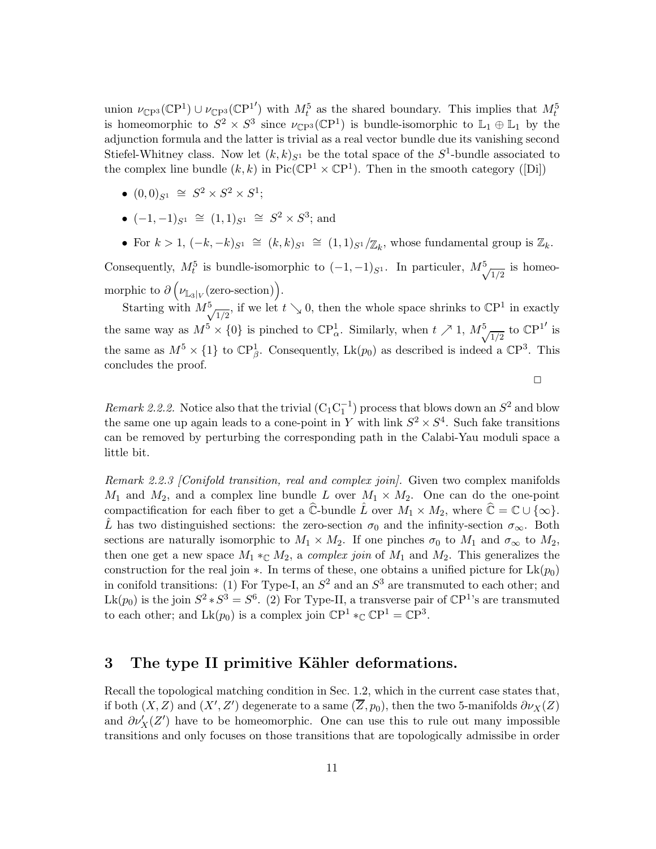union  $\nu_{\mathbb{C}\mathrm{P}^3}(\mathbb{C}\mathrm{P}^1) \cup \nu_{\mathbb{C}\mathrm{P}^3}(\mathbb{C}\mathrm{P}^{1'})$  with  $M_t^5$  as the shared boundary. This implies that  $M_t^5$ is homeomorphic to  $S^2 \times S^3$  since  $\nu_{\mathbb{C}P^3}(\mathbb{C}P^1)$  is bundle-isomorphic to  $\mathbb{L}_1 \oplus \mathbb{L}_1$  by the adjunction formula and the latter is trivial as a real vector bundle due its vanishing second Stiefel-Whitney class. Now let  $(k, k)_{S^1}$  be the total space of the  $S^1$ -bundle associated to the complex line bundle  $(k, k)$  in Pic( $\mathbb{C}P^1 \times \mathbb{C}P^1$ ). Then in the smooth category ([Di])

- $(0,0)_{S^1} \cong S^2 \times S^2 \times S^1;$
- $(-1,-1)_{S^1} \cong (1,1)_{S^1} \cong S^2 \times S^3$ ; and
- For  $k > 1$ ,  $(-k, -k)_{S^1} \cong (k, k)_{S^1} \cong (1, 1)_{S^1}/\mathbb{Z}_k$ , whose fundamental group is  $\mathbb{Z}_k$ .

Consequently,  $M_t^5$  is bundle-isomorphic to  $(-1,-1)_{S^1}$ . In particuler,  $M_{\chi}^5$  $\frac{1}{2}$  is homeomorphic to  $\partial \left( \nu_{\mathbb{L}_3|_V}(\text{zero-section}) \right)$ .

Starting with  $M^5$  $\frac{1}{2}$ , if we let  $t \searrow 0$ , then the whole space shrinks to  $\mathbb{C}P^1$  in exactly the same way as  $M^5 \times \{0\}$  is pinched to  $\mathbb{C}P^1_{\alpha}$ . Similarly, when  $t \nearrow 1$ ,  $M^5_{\alpha}$  $\frac{1}{2}$  to  $\mathbb{C}P^{1'}$  is the same as  $M^5 \times \{1\}$  to  $\mathbb{CP}^1_{\beta}$ . Consequently,  $Lk(p_0)$  as described is indeed a  $\mathbb{CP}^3$ . This concludes the proof.

 $\Box$ 

Remark 2.2.2. Notice also that the trivial  $(C_1C_1^{-1})$  process that blows down an  $S^2$  and blow the same one up again leads to a cone-point in Y with link  $S^2 \times S^4$ . Such fake transitions can be removed by perturbing the corresponding path in the Calabi-Yau moduli space a little bit.

Remark 2.2.3 [Conifold transition, real and complex join]. Given two complex manifolds  $M_1$  and  $M_2$ , and a complex line bundle L over  $M_1 \times M_2$ . One can do the one-point compactification for each fiber to get a  $\hat{\mathbb{C}}$ -bundle  $\hat{L}$  over  $M_1 \times M_2$ , where  $\hat{\mathbb{C}} = \mathbb{C} \cup \{\infty\}.$ L has two distinguished sections: the zero-section  $\sigma_0$  and the infinity-section  $\sigma_{\infty}$ . Both sections are naturally isomorphic to  $M_1 \times M_2$ . If one pinches  $\sigma_0$  to  $M_1$  and  $\sigma_{\infty}$  to  $M_2$ , then one get a new space  $M_1 *_{\mathbb{C}} M_2$ , a *complex join* of  $M_1$  and  $M_2$ . This generalizes the construction for the real join  $\ast$ . In terms of these, one obtains a unified picture for Lk( $p_0$ ) in conifold transitions: (1) For Type-I, an  $S^2$  and an  $S^3$  are transmuted to each other; and Lk(p<sub>0</sub>) is the join  $S^2 * S^3 = S^6$ . (2) For Type-II, a transverse pair of  $\mathbb{C}P^1$ 's are transmuted to each other; and  $Lk(p_0)$  is a complex join  $\mathbb{C}P^1 *_{\mathbb{C}} \mathbb{C}P^1 = \mathbb{C}P^3$ .

## 3 The type II primitive Kähler deformations.

Recall the topological matching condition in Sec. 1.2, which in the current case states that, if both  $(X, Z)$  and  $(X', Z')$  degenerate to a same  $(Z, p_0)$ , then the two 5-manifolds  $\partial \nu_X(Z)$ and  $\partial \nu'_X(Z')$  have to be homeomorphic. One can use this to rule out many impossible transitions and only focuses on those transitions that are topologically admissibe in order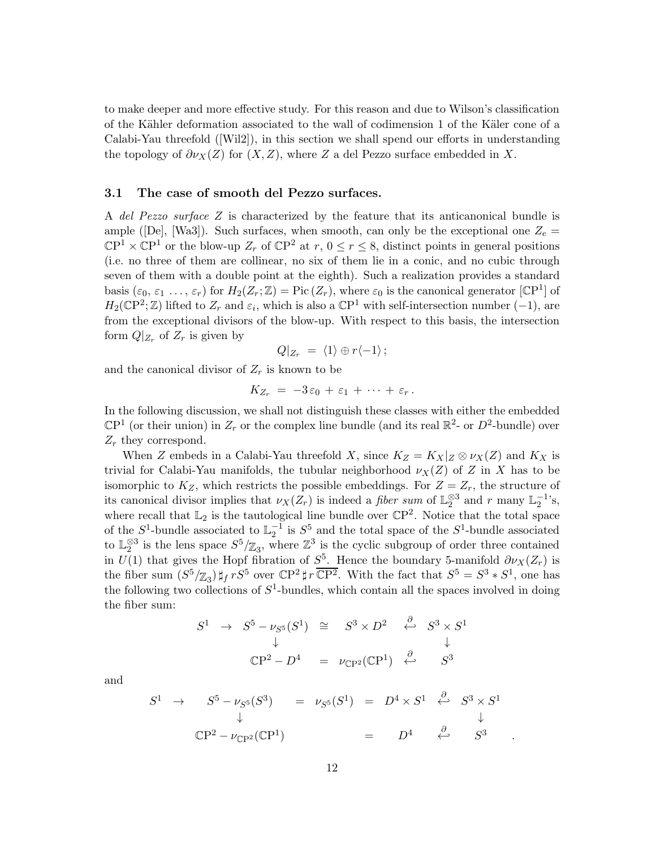to make deeper and more effective study. For this reason and due to Wilson's classification of the Kähler deformation associated to the wall of codimension 1 of the Käler cone of a Calabi-Yau threefold ([Wil2]), in this section we shall spend our efforts in understanding the topology of  $\partial \nu_X(Z)$  for  $(X, Z)$ , where Z a del Pezzo surface embedded in X.

### 3.1 The case of smooth del Pezzo surfaces.

A del Pezzo surface Z is characterized by the feature that its anticanonical bundle is ample ([De], [Wa3]). Such surfaces, when smooth, can only be the exceptional one  $Z_e =$  $\mathbb{C}P^1 \times \mathbb{C}P^1$  or the blow-up  $Z_r$  of  $\mathbb{C}P^2$  at  $r, 0 \le r \le 8$ , distinct points in general positions (i.e. no three of them are collinear, no six of them lie in a conic, and no cubic through seven of them with a double point at the eighth). Such a realization provides a standard basis  $(\varepsilon_0, \varepsilon_1, \ldots, \varepsilon_r)$  for  $H_2(Z_r; \mathbb{Z}) = \text{Pic}\,(Z_r)$ , where  $\varepsilon_0$  is the canonical generator [CP<sup>1</sup>] of  $H_2(\mathbb{C}P^2;\mathbb{Z})$  lifted to  $Z_r$  and  $\varepsilon_i$ , which is also a  $\mathbb{C}P^1$  with self-intersection number  $(-1)$ , are from the exceptional divisors of the blow-up. With respect to this basis, the intersection form  $Q|_{Z_r}$  of  $Z_r$  is given by

$$
Q|_{Z_r} = \langle 1 \rangle \oplus r \langle -1 \rangle ;
$$

and the canonical divisor of  $Z_r$  is known to be

$$
K_{Z_r} = -3\varepsilon_0 + \varepsilon_1 + \cdots + \varepsilon_r.
$$

In the following discussion, we shall not distinguish these classes with either the embedded  $\mathbb{C}P^1$  (or their union) in  $Z_r$  or the complex line bundle (and its real  $\mathbb{R}^2$ - or  $D^2$ -bundle) over  $Z_r$  they correspond.

When Z embeds in a Calabi-Yau threefold X, since  $K_Z = K_X |_Z \otimes \nu_X(Z)$  and  $K_X$  is trivial for Calabi-Yau manifolds, the tubular neighborhood  $\nu_X(Z)$  of Z in X has to be isomorphic to  $K_Z$ , which restricts the possible embeddings. For  $Z = Z_r$ , the structure of its canonical divisor implies that  $\nu_X(Z_r)$  is indeed a *fiber sum* of  $\mathbb{L}_2^{\otimes 3}$  and r many  $\mathbb{L}_2^{-1}$ 's, where recall that  $\mathbb{L}_2$  is the tautological line bundle over  $\mathbb{C}P^2$ . Notice that the total space of the  $S^1$ -bundle associated to  $\mathbb{L}_2^{-1}$  is  $S^5$  and the total space of the  $S^1$ -bundle associated to  $\mathbb{L}_2^{\otimes 3}$  is the lens space  $S^5/\mathbb{Z}_3$ , where  $\mathbb{Z}^3$  is the cyclic subgroup of order three contained in  $U(1)$  that gives the Hopf fibration of  $S^5$ . Hence the boundary 5-manifold  $\partial \nu_X(Z_r)$  is the fiber sum  $(S^5/\mathbb{Z}_3)$   $\sharp_f rS^5$  over  $\mathbb{C}P^2 \sharp r \overline{\mathbb{C}P^2}$ . With the fact that  $S^5 = S^3 * S^1$ , one has the following two collections of  $S^1$ -bundles, which contain all the spaces involved in doing the fiber sum:

$$
S^{1} \rightarrow S^{5} - \nu_{S^{5}}(S^{1}) \cong S^{3} \times D^{2} \stackrel{\partial}{\leftarrow} S^{3} \times S^{1}
$$
  
\n
$$
\downarrow \qquad \qquad \downarrow
$$
  
\n
$$
\mathbb{C}P^{2} - D^{4} = \nu_{\mathbb{C}P^{2}}(\mathbb{C}P^{1}) \stackrel{\partial}{\leftarrow} S^{3}
$$

and

$$
S^{1} \rightarrow S^{5} - \nu_{S^{5}}(S^{3}) = \nu_{S^{5}}(S^{1}) = D^{4} \times S^{1} \stackrel{\partial}{\leftarrow} S^{3} \times S^{1}
$$
  
\n
$$
\downarrow \qquad \qquad \downarrow
$$
  
\n
$$
\mathbb{C}P^{2} - \nu_{\mathbb{C}P^{2}}(\mathbb{C}P^{1}) = D^{4} \stackrel{\partial}{\leftarrow} S^{3}
$$

.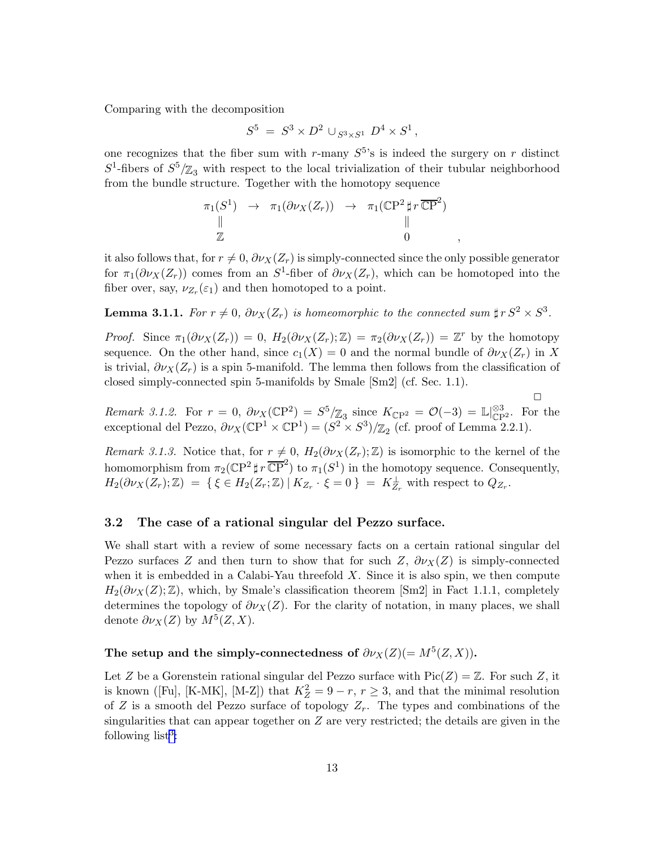Comparing with the decomposition

$$
S^5 = S^3 \times D^2 \cup_{S^3 \times S^1} D^4 \times S^1,
$$

one recognizes that the fiber sum with r-many  $S^5$ 's is indeed the surgery on r distinct  $S^1$ -fibers of  $S^5/\mathbb{Z}_3$  with respect to the local trivialization of their tubular neighborhood from the bundle structure. Together with the homotopy sequence

$$
\begin{array}{ccc}\n\pi_1(S^1) & \to & \pi_1(\partial \nu_X(Z_r)) & \to & \pi_1(\mathbb{C}\mathrm{P}^2 \sharp r \, \overline{\mathbb{C}\mathrm{P}}^2) \\
\parallel & & \parallel \\
\mathbb{Z} & & 0\n\end{array}
$$

it also follows that, for  $r \neq 0$ ,  $\partial \nu_X(Z_r)$  is simply-connected since the only possible generator for  $\pi_1(\partial \nu_X(Z_r))$  comes from an S<sup>1</sup>-fiber of  $\partial \nu_X(Z_r)$ , which can be homotoped into the fiber over, say,  $\nu_{Z_r}(\varepsilon_1)$  and then homotoped to a point.

**Lemma 3.1.1.** For  $r \neq 0$ ,  $\partial \nu_X(Z_r)$  is homeomorphic to the connected sum  $\sharp r S^2 \times S^3$ .

*Proof.* Since  $\pi_1(\partial \nu_X(Z_r)) = 0$ ,  $H_2(\partial \nu_X(Z_r); \mathbb{Z}) = \pi_2(\partial \nu_X(Z_r)) = \mathbb{Z}^r$  by the homotopy sequence. On the other hand, since  $c_1(X) = 0$  and the normal bundle of  $\partial \nu_X(Z_r)$  in X is trivial,  $\partial \nu_X(Z_r)$  is a spin 5-manifold. The lemma then follows from the classification of closed simply-connected spin 5-manifolds by Smale [Sm2] (cf. Sec. 1.1).

Remark 3.1.2. For  $r = 0$ ,  $\partial \nu_X(\mathbb{C}P^2) = S^5/\mathbb{Z}_3$  since  $K_{\mathbb{C}P^2} = \mathcal{O}(-3) = \mathbb{L}|\mathbb{S}^3_{\mathbb{C}P^2}$ . For the exceptional del Pezzo,  $\partial \nu_X(\mathbb{C}P^1 \times \mathbb{C}P^1) = (S^2 \times S^3)/\mathbb{Z}_2$  (cf. proof of Lemma 2.2.1).

 $\Box$ 

Remark 3.1.3. Notice that, for  $r \neq 0$ ,  $H_2(\partial \nu_X(Z_r);\mathbb{Z})$  is isomorphic to the kernel of the homomorphism from  $\pi_2(\mathbb{C}P^2 \sharp r \overline{\mathbb{C}P}^2)$  to  $\pi_1(S^1)$  in the homotopy sequence. Consequently,  $H_2(\partial \nu_X(Z_r);\mathbb{Z}) = \{ \xi \in H_2(Z_r;\mathbb{Z}) \mid K_{Z_r} \cdot \xi = 0 \} = K_{Z_r}^{\perp}$  with respect to  $Q_{Z_r}$ .

### 3.2 The case of a rational singular del Pezzo surface.

We shall start with a review of some necessary facts on a certain rational singular del Pezzo surfaces Z and then turn to show that for such Z,  $\partial \nu_X(Z)$  is simply-connected when it is embedded in a Calabi-Yau threefold  $X$ . Since it is also spin, we then compute  $H_2(\partial \nu_X(Z);\mathbb{Z})$ , which, by Smale's classification theorem [Sm2] in Fact 1.1.1, completely determines the topology of  $\partial v_X(Z)$ . For the clarity of notation, in many places, we shall denote  $\partial \nu_X(Z)$  by  $M^5(Z,X)$ .

# The setup and the simply-connectedness of  $\partial \nu_X(Z) (=M^5(Z,X)).$

Let Z be a Gorenstein rational singular del Pezzo surface with  $Pic(Z) = \mathbb{Z}$ . For such Z, it is known ([Fu], [K-MK], [M-Z]) that  $K_Z^2 = 9 - r$ ,  $r \ge 3$ , and that the minimal resolution of Z is a smooth del Pezzo surface of topology  $Z_r$ . The types and combinations of the singularities that can appear together on  $Z$  are very restricted; the details are given in the following  $list^3$  $list^3$ :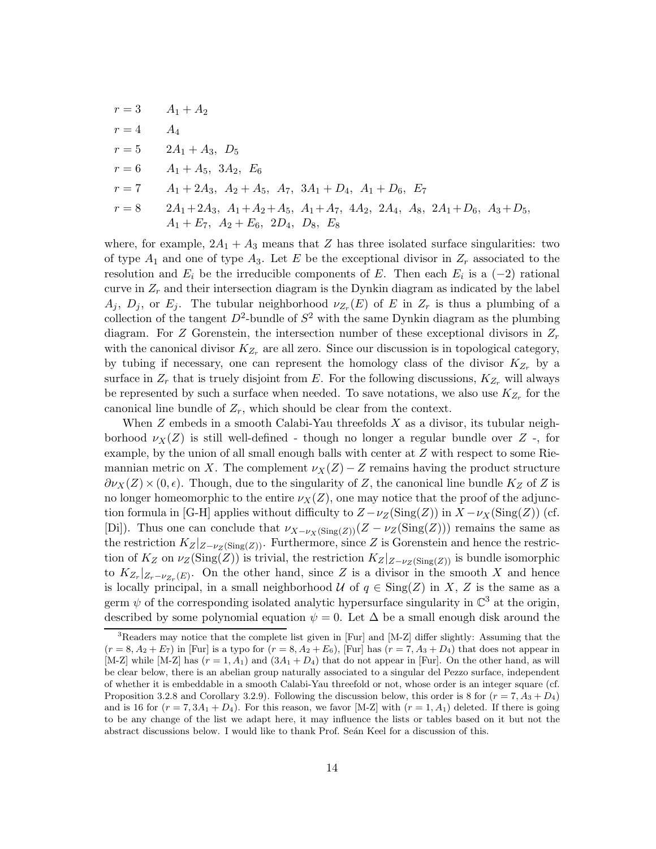<span id="page-15-0"></span>
$$
r = 3
$$
  
\n
$$
A_1 + A_2
$$
  
\n
$$
r = 4
$$
  
\n
$$
A_4
$$
  
\n
$$
r = 5
$$
  
\n
$$
2A_1 + A_3
$$
,  $D_5$   
\n
$$
r = 6
$$
  
\n
$$
A_1 + A_5
$$
,  $3A_2$ ,  $E_6$   
\n
$$
r = 7
$$
  
\n
$$
A_1 + 2A_3
$$
,  $A_2 + A_5$ ,  $A_7$ ,  $3A_1 + D_4$ ,  $A_1 + D_6$ ,  $E_7$   
\n
$$
r = 8
$$
  
\n
$$
2A_1 + 2A_3
$$
,  $A_1 + A_2 + A_5$ ,  $A_1 + A_7$ ,  $4A_2$ ,  $2A_4$ ,  $A_8$ ,  $2A_1 + D_6$ ,  $A_3 + D_5$ ,  
\n $A_1 + E_7$ ,  $A_2 + E_6$ ,  $2D_4$ ,  $D_8$ ,  $E_8$ 

where, for example,  $2A_1 + A_3$  means that Z has three isolated surface singularities: two of type  $A_1$  and one of type  $A_3$ . Let E be the exceptional divisor in  $Z_r$  associated to the resolution and  $E_i$  be the irreducible components of E. Then each  $E_i$  is a  $(-2)$  rational curve in  $Z_r$  and their intersection diagram is the Dynkin diagram as indicated by the label  $A_j$ ,  $D_j$ , or  $E_j$ . The tubular neighborhood  $\nu_{Z_r}(E)$  of E in  $Z_r$  is thus a plumbing of a collection of the tangent  $D^2$ -bundle of  $S^2$  with the same Dynkin diagram as the plumbing diagram. For Z Gorenstein, the intersection number of these exceptional divisors in  $Z_r$ with the canonical divisor  $K_{Z_r}$  are all zero. Since our discussion is in topological category, by tubing if necessary, one can represent the homology class of the divisor  $K_{Z_r}$  by a surface in  $Z_r$  that is truely disjoint from E. For the following discussions,  $K_{Z_r}$  will always be represented by such a surface when needed. To save notations, we also use  $K_{Z_r}$  for the canonical line bundle of  $Z_r$ , which should be clear from the context.

When  $Z$  embeds in a smooth Calabi-Yau threefolds  $X$  as a divisor, its tubular neighborhood  $\nu_X(Z)$  is still well-defined - though no longer a regular bundle over Z -, for example, by the union of all small enough balls with center at Z with respect to some Riemannian metric on X. The complement  $\nu_X(Z) - Z$  remains having the product structure  $\partial \nu_X(Z) \times (0, \epsilon)$ . Though, due to the singularity of Z, the canonical line bundle  $K_Z$  of Z is no longer homeomorphic to the entire  $\nu_X(Z)$ , one may notice that the proof of the adjunction formula in [G-H] applies without difficulty to  $Z - \nu_Z(\text{Sing}(Z))$  in  $X - \nu_X(\text{Sing}(Z))$  (cf. [Di]). Thus one can conclude that  $\nu_{X-\nu_X(\text{Sing}(Z))}(Z-\nu_Z(\text{Sing}(Z)))$  remains the same as the restriction  $K_Z|_{Z-\nu_Z(Sing(Z))}$ . Furthermore, since Z is Gorenstein and hence the restriction of  $K_Z$  on  $\nu_Z(\text{Sing}(Z))$  is trivial, the restriction  $K_Z|_{Z-\nu_Z(\text{Sing}(Z))}$  is bundle isomorphic to  $K_{Z_r}|_{Z_r-\nu_{Z_r}(E)}$ . On the other hand, since Z is a divisor in the smooth X and hence is locally principal, in a small neighborhood  $U$  of  $q \in Sing(Z)$  in X, Z is the same as a germ  $\psi$  of the corresponding isolated analytic hypersurface singularity in  $\mathbb{C}^3$  at the origin, described by some polynomial equation  $\psi = 0$ . Let  $\Delta$  be a small enough disk around the

<sup>&</sup>lt;sup>3</sup>Readers may notice that the complete list given in [Fur] and [M-Z] differ slightly: Assuming that the  $(r = 8, A<sub>2</sub> + E<sub>7</sub>)$  in [Fur] is a typo for  $(r = 8, A<sub>2</sub> + E<sub>6</sub>)$ , [Fur] has  $(r = 7, A<sub>3</sub> + D<sub>4</sub>)$  that does not appear in [M-Z] while [M-Z] has  $(r = 1, A_1)$  and  $(3A_1 + D_4)$  that do not appear in [Fur]. On the other hand, as will be clear below, there is an abelian group naturally associated to a singular del Pezzo surface, independent of whether it is embeddable in a smooth Calabi-Yau threefold or not, whose order is an integer square (cf. Proposition 3.2.8 and Corollary 3.2.9). Following the discussion below, this order is 8 for  $(r = 7, A_3 + D_4)$ and is 16 for  $(r = 7, 3A_1 + D_4)$ . For this reason, we favor [M-Z] with  $(r = 1, A_1)$  deleted. If there is going to be any change of the list we adapt here, it may influence the lists or tables based on it but not the abstract discussions below. I would like to thank Prof. Seán Keel for a discussion of this.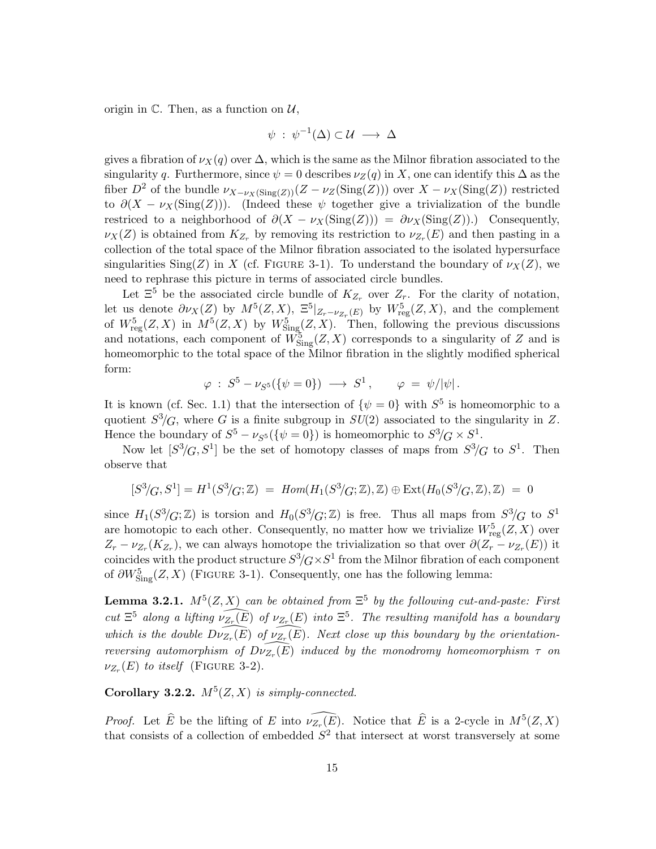origin in  $\mathbb{C}$ . Then, as a function on  $\mathcal{U}$ ,

$$
\psi \; : \; \psi^{-1}(\Delta) \subset \mathcal{U} \; \longrightarrow \; \Delta
$$

gives a fibration of  $\nu_X(q)$  over  $\Delta$ , which is the same as the Milnor fibration associated to the singularity q. Furthermore, since  $\psi = 0$  describes  $\nu_Z(q)$  in X, one can identify this  $\Delta$  as the fiber  $D^2$  of the bundle  $\nu_{X-\nu_X(\text{Sing}(Z))}(Z-\nu_Z(\text{Sing}(Z)))$  over  $X-\nu_X(\text{Sing}(Z))$  restricted to  $\partial(X - \nu_X(\text{Sing}(Z)))$ . (Indeed these  $\psi$  together give a trivialization of the bundle restriced to a neighborhood of  $\partial(X - \nu_X(\text{Sing}(Z))) = \partial \nu_X(\text{Sing}(Z))$ . Consequently,  $\nu_X(Z)$  is obtained from  $K_{Z_r}$  by removing its restriction to  $\nu_{Z_r}(E)$  and then pasting in a collection of the total space of the Milnor fibration associated to the isolated hypersurface singularities Sing(Z) in X (cf. FIGURE 3-1). To understand the boundary of  $\nu_X(Z)$ , we need to rephrase this picture in terms of associated circle bundles.

Let  $\Xi^5$  be the associated circle bundle of  $K_{Z_r}$  over  $Z_r$ . For the clarity of notation, let us denote  $\partial \nu_X(Z)$  by  $M^5(Z,X)$ ,  $\Xi^5|_{Z_r-\nu_{Z_r}(E)}$  by  $W^5_{reg}(Z,X)$ , and the complement of  $W_{\text{reg}}^5(Z, X)$  in  $M^5(Z, X)$  by  $W_{\text{Sing}}^5(Z, X)$ . Then, following the previous discussions and notations, each component of  $W_{\text{Sing}}^5(Z, X)$  corresponds to a singularity of Z and is homeomorphic to the total space of the Milnor fibration in the slightly modified spherical form:

$$
\varphi\,:\,S^5-\nu_{S^5}(\{\psi=0\})\,\longrightarrow\,S^1\,,\qquad \varphi\,=\,\psi/|\psi|\,.
$$

It is known (cf. Sec. 1.1) that the intersection of  $\{\psi = 0\}$  with  $S^5$  is homeomorphic to a quotient  $S^3/G$ , where G is a finite subgroup in  $SU(2)$  associated to the singularity in Z. Hence the boundary of  $S^5 - \nu_{S^5}(\{\psi = 0\})$  is homeomorphic to  $S^3/G \times S^1$ .

Now let  $[S^3/G, S^1]$  be the set of homotopy classes of maps from  $S^3/G$  to  $S^1$ . Then observe that

$$
[S^3/G, S^1] = H^1(S^3/G; \mathbb{Z}) = Hom(H_1(S^3/G; \mathbb{Z}), \mathbb{Z}) \oplus Ext(H_0(S^3/G; \mathbb{Z}), \mathbb{Z}) = 0
$$

since  $H_1(S^3/G;\mathbb{Z})$  is torsion and  $H_0(S^3/G;\mathbb{Z})$  is free. Thus all maps from  $S^3/G$  to  $S^1$ are homotopic to each other. Consequently, no matter how we trivialize  $W_{reg}^5(Z, X)$  over  $Z_r - \nu_{Z_r}(K_{Z_r})$ , we can always homotope the trivialization so that over  $\partial(Z_r - \nu_{Z_r}(E))$  it coincides with the product structure  $S^3/G \times S^1$  from the Milnor fibration of each component of  $\partial W_{\text{Sing}}^5(Z, X)$  (FIGURE 3-1). Consequently, one has the following lemma:

**Lemma 3.2.1.**  $M^5(Z, X)$  can be obtained from  $\Xi^5$  by the following cut-and-paste: First cut  $E^5$  along a lifting  $\widehat{\nu_{Z_r}(E)}$  of  $\nu_{Z_r}(E)$  into  $E^5$ . The resulting manifold has a boundary which is the double  $\widehat{Dv_{Z_r}(E)}$  of  $\widehat{v_{Z_r}(E)}$ . Next close up this boundary by the orientationreversing automorphism of  $\widehat{D\nu_{Z_r}(E)}$  induced by the monodromy homeomorphism  $\tau$  on  $\nu_{Z_r}(E)$  to itself (FIGURE 3-2).

Corollary 3.2.2.  $M^5(Z,X)$  is simply-connected.

*Proof.* Let  $\widehat{E}$  be the lifting of E into  $\widehat{\nu_{Z_r}(E)}$ . Notice that  $\widehat{E}$  is a 2-cycle in  $M^5(Z, X)$ that consists of a collection of embedded  $S^2$  that intersect at worst transversely at some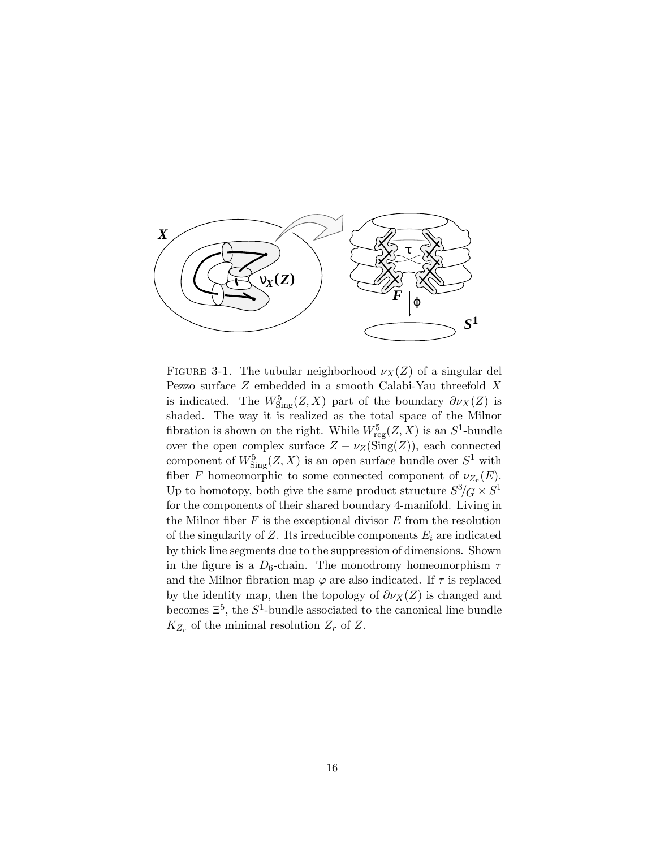

FIGURE 3-1. The tubular neighborhood  $\nu_X(Z)$  of a singular del Pezzo surface Z embedded in a smooth Calabi-Yau threefold X is indicated. The  $W^5_{\text{Sing}}(Z, X)$  part of the boundary  $\partial \nu_X(Z)$  is shaded. The way it is realized as the total space of the Milnor fibration is shown on the right. While  $W_{reg}^5(Z, X)$  is an  $S^1$ -bundle over the open complex surface  $Z - \nu_Z(Sing(Z))$ , each connected component of  $W^5_{\text{Sing}}(Z, X)$  is an open surface bundle over  $S^1$  with fiber F homeomorphic to some connected component of  $\nu_{Z_r}(E)$ . Up to homotopy, both give the same product structure  $S^3/G \times S^1$ for the components of their shared boundary 4-manifold. Living in the Milnor fiber  $F$  is the exceptional divisor  $E$  from the resolution of the singularity of Z. Its irreducible components  $E_i$  are indicated by thick line segments due to the suppression of dimensions. Shown in the figure is a  $D_6$ -chain. The monodromy homeomorphism  $\tau$ and the Milnor fibration map  $\varphi$  are also indicated. If  $\tau$  is replaced by the identity map, then the topology of  $\partial \nu_X(Z)$  is changed and becomes  $\Xi^5$ , the  $S^1$ -bundle associated to the canonical line bundle  $K_{Z_r}$  of the minimal resolution  $Z_r$  of  $Z$ .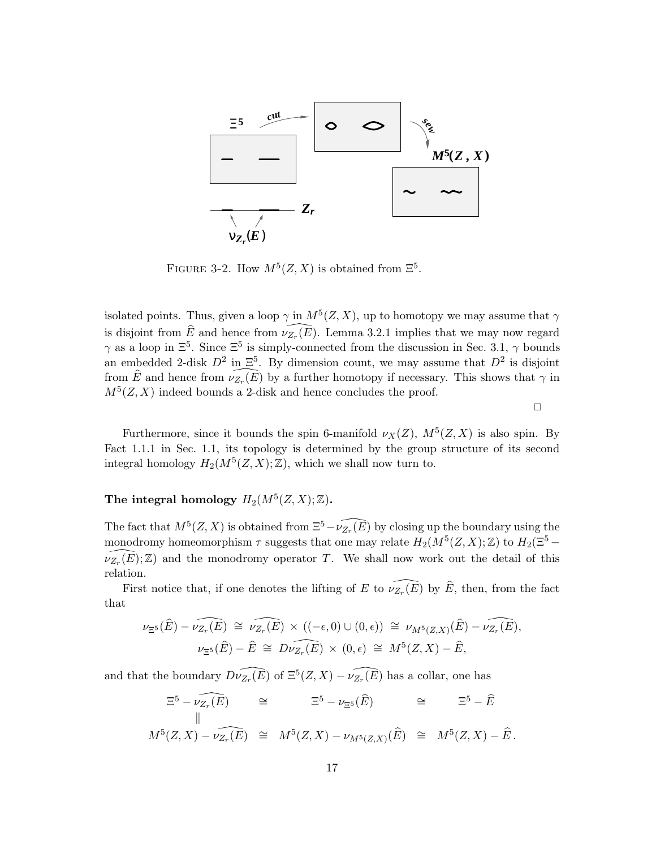

FIGURE 3-2. How  $M^5(Z, X)$  is obtained from  $\Xi^5$ .

isolated points. Thus, given a loop  $\gamma$  in  $M^5(Z,X)$ , up to homotopy we may assume that  $\gamma$ is disjoint from  $\widehat{E}$  and hence from  $\widehat{\nu_{Z_r}(E)}$ . Lemma 3.2.1 implies that we may now regard  $\gamma$  as a loop in  $\Xi^5$ . Since  $\Xi^5$  is simply-connected from the discussion in Sec. 3.1,  $\gamma$  bounds an embedded 2-disk  $D^2$  in  $\Xi^5$ . By dimension count, we may assume that  $D^2$  is disjoint from  $\widehat{E}$  and hence from  $\widehat{\nu_{Z_r}(E)}$  by a further homotopy if necessary. This shows that  $\gamma$  in  $M^5(Z, X)$  indeed bounds a 2-disk and hence concludes the proof.

 $\Box$ 

Furthermore, since it bounds the spin 6-manifold  $\nu_X(Z)$ ,  $M^5(Z, X)$  is also spin. By Fact 1.1.1 in Sec. 1.1, its topology is determined by the group structure of its second integral homology  $H_2(M^5(Z,X);\mathbb{Z})$ , which we shall now turn to.

# The integral homology  $H_2(M^5(Z,X); \mathbb{Z})$ .

The fact that  $M^5(Z, X)$  is obtained from  $\Xi^5-\widehat{\nu_{Z_r}(E)}$  by closing up the boundary using the monodromy homeomorphism  $\tau$  suggests that one may relate  $H_2(M^5(Z,X);\mathbb{Z})$  to  $H_2(\Xi^5 \widehat{\nu_{Z_r}(E)}$ ; Z) and the monodromy operator T. We shall now work out the detail of this relation.

First notice that, if one denotes the lifting of E to  $\widehat{\nu_{Z_r}(E)}$  by  $\widehat{E}$ , then, from the fact that

$$
\nu_{\Xi^5}(\widehat{E}) - \widehat{\nu_{Z_r}(E)} \cong \widehat{\nu_{Z_r}(E)} \times ((-\epsilon, 0) \cup (0, \epsilon)) \cong \nu_{M^5(Z, X)}(\widehat{E}) - \widehat{\nu_{Z_r}(E)},
$$
  

$$
\nu_{\Xi^5}(\widehat{E}) - \widehat{E} \cong \widehat{D\nu_{Z_r}(E)} \times (0, \epsilon) \cong M^5(Z, X) - \widehat{E},
$$

and that the boundary  $\widehat{D\nu_{Z_r}(E)}$  of  $\widehat{\Xi^5(Z,X)} - \widehat{\nu_{Z_r}(E)}$  has a collar, one has

$$
\begin{array}{rcl}\n\Xi^5 - \widehat{\nu_{Z_r}(E)} & \cong & \Xi^5 - \nu_{\Xi^5}(\widehat{E}) & \cong & \Xi^5 - \widehat{E} \\
\parallel & & \\
M^5(Z, X) - \widehat{\nu_{Z_r}(E)} & \cong & M^5(Z, X) - \nu_{M^5(Z, X)}(\widehat{E}) & \cong & M^5(Z, X) - \widehat{E} \,.\n\end{array}
$$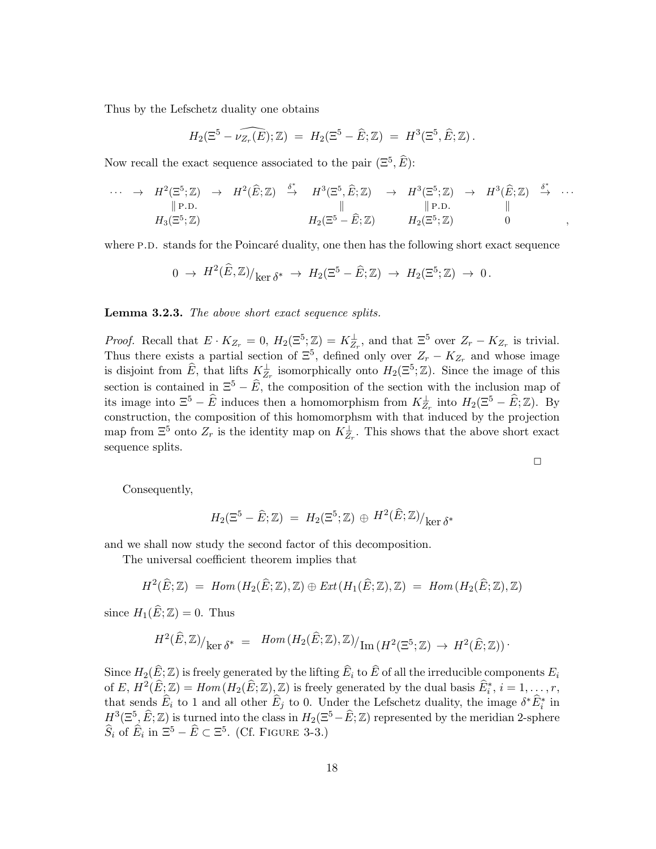Thus by the Lefschetz duality one obtains

$$
H_2(\Xi^5 - \widehat{\nu_{Z_r}(E)}; \mathbb{Z}) = H_2(\Xi^5 - \widehat{E}; \mathbb{Z}) = H^3(\Xi^5, \widehat{E}; \mathbb{Z}).
$$

Now recall the exact sequence associated to the pair  $(\Xi^5, \widehat{E})$ :

$$
\cdots \rightarrow H^{2}(\Xi^{5}; \mathbb{Z}) \rightarrow H^{2}(\widehat{E}; \mathbb{Z}) \stackrel{\delta^{*}}{\rightarrow} H^{3}(\Xi^{5}, \widehat{E}; \mathbb{Z}) \rightarrow H^{3}(\Xi^{5}; \mathbb{Z}) \rightarrow H^{3}(\widehat{E}; \mathbb{Z}) \stackrel{\delta^{*}}{\rightarrow} \cdots
$$
  
\n $\parallel$  P.D.  
\n $H_{3}(\Xi^{5}; \mathbb{Z})$   
\n $H_{2}(\Xi^{5} - \widehat{E}; \mathbb{Z})$   
\n $H_{2}(\Xi^{5}; \mathbb{Z})$   
\n $H_{3}(\Xi^{5}; \mathbb{Z})$   
\n $\qquad \qquad 0$ 

where P.D. stands for the Poincaré duality, one then has the following short exact sequence

$$
0 \to H^2(\widehat{E}, \mathbb{Z})/_{\text{ker }\delta^*} \to H_2(\Xi^5 - \widehat{E}; \mathbb{Z}) \to H_2(\Xi^5; \mathbb{Z}) \to 0.
$$

#### Lemma 3.2.3. The above short exact sequence splits.

*Proof.* Recall that  $E \cdot K_{Z_r} = 0$ ,  $H_2(\Xi^5; \mathbb{Z}) = K_{Z_r}^{\perp}$ , and that  $\Xi^5$  over  $Z_r - K_{Z_r}$  is trivial. Thus there exists a partial section of  $\Xi^5$ , defined only over  $Z_r - K_{Z_r}$  and whose image is disjoint from  $\widehat{E}$ , that lifts  $K_{Z_r}^{\perp}$  isomorphically onto  $H_2(\Xi^5; \mathbb{Z})$ . Since the image of this section is contained in  $\Xi^5 - \widehat{E}$ , the composition of the section with the inclusion map of its image into  $\Xi^5 - \widehat{E}$  induces then a homomorphism from  $K_{Z_r}^{\perp}$  into  $H_2(\Xi^5 - \widehat{E}; \mathbb{Z})$ . By construction, the composition of this homomorphsm with that induced by the projection map from  $\Xi^5$  onto  $Z_r$  is the identity map on  $K_{Z_r}^{\perp}$ . This shows that the above short exact sequence splits.

$$
\Box
$$

Consequently,

$$
H_2(\Xi^5-\widehat{E};\mathbb{Z})\;=\;H_2(\Xi^5;\mathbb{Z})\,\oplus\,H^2(\widehat{E};\mathbb{Z})/_{\mathop{\rm ker}\nolimits\,\delta^*}
$$

and we shall now study the second factor of this decomposition.

The universal coefficient theorem implies that

$$
H^{2}(\widehat{E};\mathbb{Z}) = Hom(H_{2}(\widehat{E};\mathbb{Z}),\mathbb{Z}) \oplus Ext(H_{1}(\widehat{E};\mathbb{Z}),\mathbb{Z}) = Hom(H_{2}(\widehat{E};\mathbb{Z}),\mathbb{Z})
$$

since  $H_1(E;\mathbb{Z}) = 0$ . Thus

$$
H^2(\widehat{E},\mathbb{Z})/_{\text{ker }\delta^*} = Hom(H_2(\widehat{E};\mathbb{Z}),\mathbb{Z})/_{\text{Im}(H^2(\Xi^5;\mathbb{Z})} \to H^2(\widehat{E};\mathbb{Z}))
$$

Since  $H_2(\widehat{E};\mathbb{Z})$  is freely generated by the lifting  $\widehat{E}_i$  to  $\widehat{E}$  of all the irreducible components  $E_i$ of E,  $H^2(\widehat{E};\mathbb{Z}) = Hom(H_2(\widehat{E};\mathbb{Z}),\mathbb{Z})$  is freely generated by the dual basis  $\widehat{E}_i^*, i = 1, \ldots, r$ , that sends  $E_i$  to 1 and all other  $E_j$  to 0. Under the Lefschetz duality, the image  $\delta^* E_i^*$  in  $H^3(\Xi^5, \widehat{E}; \mathbb{Z})$  is turned into the class in  $H_2(\Xi^5-\widehat{E}; \mathbb{Z})$  represented by the meridian 2-sphere  $\widehat{S}_i$  of  $\widehat{E}_i$  in  $\Xi^5 - \widehat{E} \subset \Xi^5$ . (Cf. FIGURE 3-3.)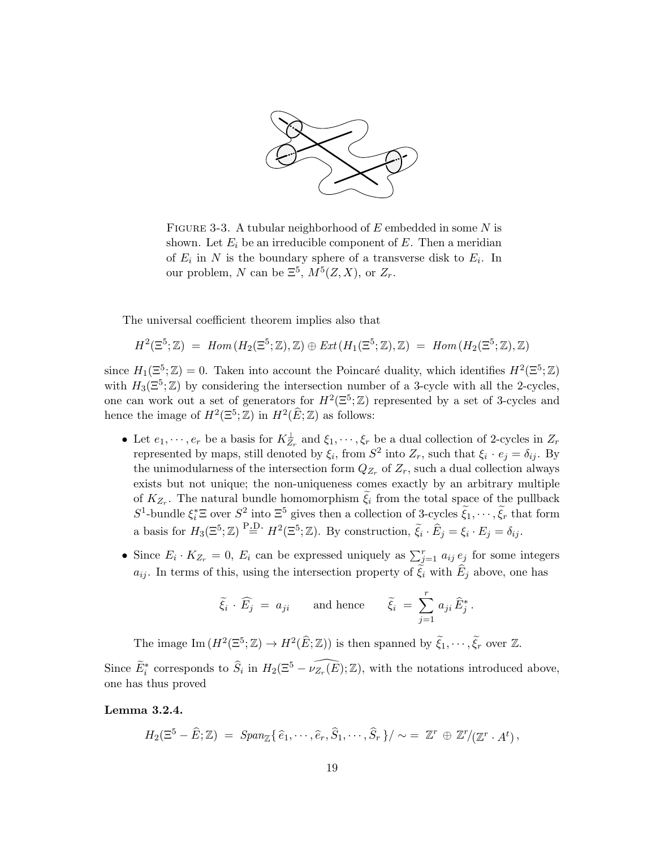

FIGURE 3-3. A tubular neighborhood of  $E$  embedded in some  $N$  is shown. Let  $E_i$  be an irreducible component of E. Then a meridian of  $E_i$  in N is the boundary sphere of a transverse disk to  $E_i$ . In our problem, N can be  $\Xi^5$ ,  $M^5(Z, X)$ , or  $Z_r$ .

The universal coefficient theorem implies also that

$$
H^2(\Xi^5; \mathbb{Z}) = Hom(H_2(\Xi^5; \mathbb{Z}), \mathbb{Z}) \oplus Ext(H_1(\Xi^5; \mathbb{Z}), \mathbb{Z}) = Hom(H_2(\Xi^5; \mathbb{Z}), \mathbb{Z})
$$

since  $H_1(\mathbb{E}^5; \mathbb{Z}) = 0$ . Taken into account the Poincaré duality, which identifies  $H^2(\mathbb{E}^5; \mathbb{Z})$ with  $H_3(\mathbb{E}^5;\mathbb{Z})$  by considering the intersection number of a 3-cycle with all the 2-cycles, one can work out a set of generators for  $H^2(\Xi^5; \mathbb{Z})$  represented by a set of 3-cycles and hence the image of  $H^2(\mathbb{E}^5;\mathbb{Z})$  in  $H^2(\widehat{E};\mathbb{Z})$  as follows:

- Let  $e_1, \dots, e_r$  be a basis for  $K_{Z_r}^{\perp}$  and  $\xi_1, \dots, \xi_r$  be a dual collection of 2-cycles in  $Z_r$ represented by maps, still denoted by  $\xi_i$ , from  $S^2$  into  $Z_r$ , such that  $\xi_i \cdot e_j = \delta_{ij}$ . By the unimodularness of the intersection form  $Q_{Z_r}$  of  $Z_r$ , such a dual collection always exists but not unique; the non-uniqueness comes exactly by an arbitrary multiple of  $K_{Z_r}$ . The natural bundle homomorphism  $\xi_i$  from the total space of the pullback  $S^1$ -bundle  $\xi_i^* \Xi$  over  $S^2$  into  $\Xi^5$  gives then a collection of 3-cycles  $\tilde{\xi}_1, \cdots, \tilde{\xi}_r$  that form a basis for  $H_3(\Xi^5; \mathbb{Z}) \stackrel{\text{P.D.}}{=} H^2(\Xi^5; \mathbb{Z})$ . By construction,  $\tilde{\xi}_i \cdot \hat{E}_j = \xi_i \cdot E_j = \delta_{ij}$ .
- Since  $E_i \cdot K_{Z_r} = 0$ ,  $E_i$  can be expressed uniquely as  $\sum_{j=1}^r a_{ij} e_j$  for some integers  $a_{ij}$ . In terms of this, using the intersection property of  $\xi_i$  with  $E_j$  above, one has

$$
\widetilde{\xi}_i \cdot \widehat{E}_j = a_{ji}
$$
 and hence  $\widetilde{\xi}_i = \sum_{j=1}^r a_{ji} \widehat{E}_j^*$ .

The image  $\text{Im}(H^2(\Xi^5;\mathbb{Z}) \to H^2(\widehat{E};\mathbb{Z}))$  is then spanned by  $\widetilde{\xi}_1,\cdots,\widetilde{\xi}_r$  over  $\mathbb{Z}$ . Since  $\widetilde{E}_i^*$  corresponds to  $\widehat{S}_i$  in  $H_2(\Xi^5 - \widehat{\nu_{Z_r}(E)}; \mathbb{Z})$ , with the notations introduced above, one has thus proved

### Lemma 3.2.4.

 $H_2(\Xi^5 - \widehat{E}; \mathbb{Z}) = Span_{\mathbb{Z}}\{\hat{e}_1, \cdots, \hat{e}_r, \hat{S}_1, \cdots, \hat{S}_r\}/\sim = \mathbb{Z}^r \oplus \mathbb{Z}^r/(\mathbb{Z}^r \cdot A^t),$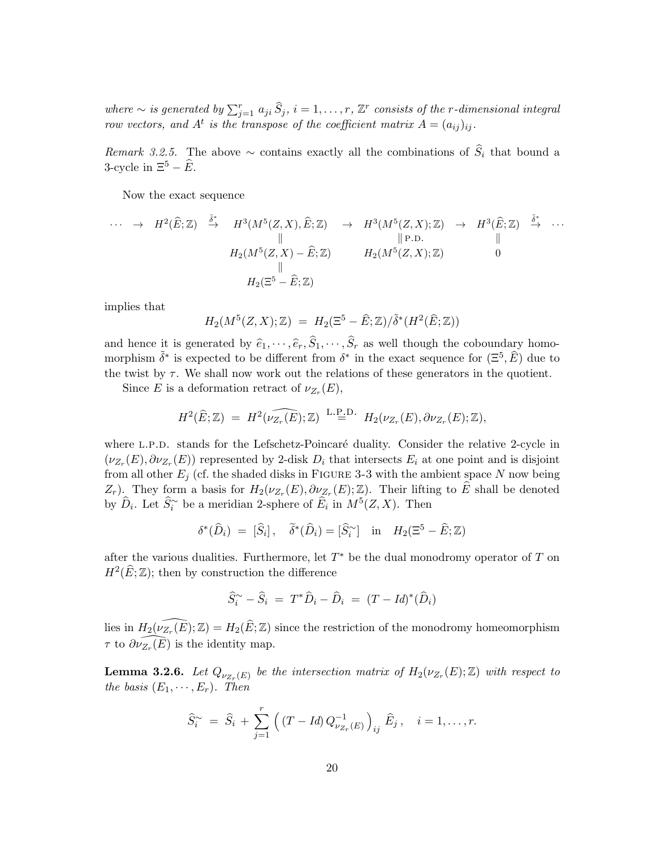where  $\sim$  is generated by  $\sum_{j=1}^r a_{ji} \hat{S}_j$ ,  $i = 1, \ldots, r$ ,  $\mathbb{Z}^r$  consists of the r-dimensional integral row vectors, and  $A^t$  is the transpose of the coefficient matrix  $A = (a_{ij})_{ij}$ .

Remark 3.2.5. The above  $\sim$  contains exactly all the combinations of  $S_i$  that bound a 3-cycle in  $\Xi^5 - \widehat{E}$ .

Now the exact sequence

$$
\cdots \rightarrow H^{2}(\widehat{E};\mathbb{Z}) \stackrel{\tilde{\delta}^{*}}{\rightarrow} H^{3}(M^{5}(Z,X),\widehat{E};\mathbb{Z}) \rightarrow H^{3}(M^{5}(Z,X);\mathbb{Z}) \rightarrow H^{3}(\widehat{E};\mathbb{Z}) \stackrel{\tilde{\delta}^{*}}{\rightarrow} \cdots
$$
  
\n
$$
\parallel \qquad \qquad \parallel \qquad \qquad \parallel \text{P.D.} \qquad \qquad \parallel
$$
  
\n
$$
H_{2}(M^{5}(Z,X)-\widehat{E};\mathbb{Z}) \qquad H_{2}(M^{5}(Z,X);\mathbb{Z}) \qquad 0
$$
  
\n
$$
\parallel
$$
  
\n
$$
H_{2}(\Xi^{5}-\widehat{E};\mathbb{Z})
$$

implies that

$$
H_2(M^5(Z,X); \mathbb{Z}) = H_2(\Xi^5 - \widehat{E}; \mathbb{Z}) / \widetilde{\delta}^*(H^2(\widehat{E}; \mathbb{Z}))
$$

and hence it is generated by  $\hat{e}_1, \dots, \hat{e}_r, S_1, \dots, S_r$  as well though the coboundary homomorphism  $\tilde{\delta}^*$  is expected to be different from  $\delta^*$  in the exact sequence for  $(\Xi^5, \hat{E})$  due to the twist by  $\tau$ . We shall now work out the relations of these generators in the quotient.

Since E is a deformation retract of  $\nu_{Z_r}(E)$ ,

$$
H^2(\widehat{E};\mathbb{Z}) = H^2(\widehat{\nu_{Z_r}(E)};\mathbb{Z}) \stackrel{\text{L.P.D.}}{=} H_2(\nu_{Z_r}(E),\partial \nu_{Z_r}(E);\mathbb{Z}),
$$

where L.P.D. stands for the Lefschetz-Poincaré duality. Consider the relative 2-cycle in  $(\nu_{Z_r}(E), \partial \nu_{Z_r}(E))$  represented by 2-disk  $D_i$  that intersects  $E_i$  at one point and is disjoint from all other  $E_j$  (cf. the shaded disks in FIGURE 3-3 with the ambient space N now being  $Z_r$ ). They form a basis for  $H_2(\nu_{Z_r}(E), \partial \nu_{Z_r}(E); \mathbb{Z})$ . Their lifting to  $\widehat{E}$  shall be denoted by  $\widehat{D}_i$ . Let  $\widehat{S}_i^{\sim}$  be a meridian 2-sphere of  $\widehat{E}_i$  in  $M^5(Z, X)$ . Then

$$
\delta^*(\widehat{D}_i) = [\widehat{S}_i], \quad \widetilde{\delta}^*(\widehat{D}_i) = [\widehat{S}_i^\sim] \quad \text{in} \quad H_2(\Xi^5 - \widehat{E}; \mathbb{Z})
$$

after the various dualities. Furthermore, let  $T^*$  be the dual monodromy operator of  $T$  on  $H^2(\widehat{E};\mathbb{Z})$ ; then by construction the difference

$$
\widehat{S}_i^{\sim} - \widehat{S}_i = T^* \widehat{D}_i - \widehat{D}_i = (T - Id)^* (\widehat{D}_i)
$$

lies in  $H_2(\widehat{\nu_{Z_r}(E)};\mathbb{Z}) = H_2(\widehat{E};\mathbb{Z})$  since the restriction of the monodromy homeomorphism  $\tau$  to  $\widehat{\partial \nu_{Z_r}(E)}$  is the identity map.

**Lemma 3.2.6.** Let  $Q_{\nu_{Z_r}(E)}$  be the intersection matrix of  $H_2(\nu_{Z_r}(E); \mathbb{Z})$  with respect to the basis  $(E_1, \dots, E_r)$ . Then

$$
\widehat{S}_i^{\sim} = \widehat{S}_i + \sum_{j=1}^r \left( (T - Id) Q_{\nu_{Z_r}(E)}^{-1} \right)_{ij} \widehat{E}_j, \quad i = 1, \dots, r.
$$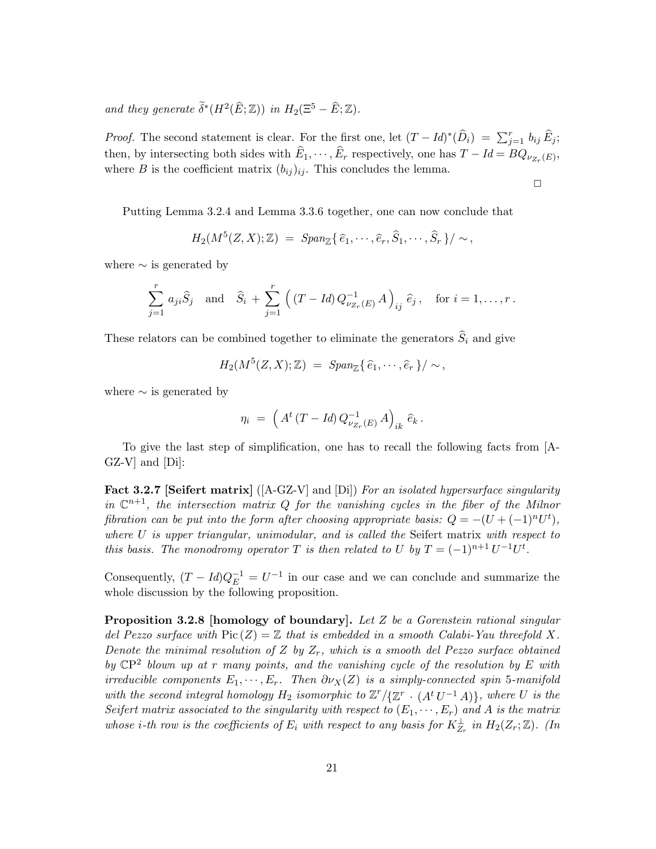and they generate  $\widetilde{\delta}^*(H^2(\widehat{E}; \mathbb{Z}))$  in  $H_2(\Xi^5 - \widehat{E}; \mathbb{Z})$ .

*Proof.* The second statement is clear. For the first one, let  $(T - Id)^*(\widehat{D}_i) = \sum_{j=1}^r b_{ij} \widehat{E}_j$ ; then, by intersecting both sides with  $E_1, \dots, E_r$  respectively, one has  $T - Id = BQ_{\nu_{Z_r}(E)}$ , where B is the coefficient matrix  $(b_{ij})_{ij}$ . This concludes the lemma.

 $\Box$ 

Putting Lemma 3.2.4 and Lemma 3.3.6 together, one can now conclude that

$$
H_2(M^5(Z,X);\mathbb{Z}) = \text{Span}_{\mathbb{Z}}\{\,\widehat{e}_1,\cdots,\widehat{e}_r,\widehat{S}_1,\cdots,\widehat{S}_r\}/\sim,
$$

where  $\sim$  is generated by

$$
\sum_{j=1}^{r} a_{ji} \hat{S}_j \text{ and } \hat{S}_i + \sum_{j=1}^{r} ((T - Id) Q_{\nu_{Z_r}(E)}^{-1} A)_{ij} \hat{e}_j, \text{ for } i = 1, ..., r.
$$

These relators can be combined together to eliminate the generators  $S_i$  and give

$$
H_2(M^5(Z,X);\mathbb{Z}) = \text{Span}_{\mathbb{Z}}\{\,\widehat{e}_1,\cdots,\widehat{e}_r\,\}/\sim,
$$

where  $\sim$  is generated by

$$
\eta_i \ = \ \left( A^t \left( T - Id \right) Q^{-1}_{\nu_{Z_r}(E)} A \right)_{ik} \hat{e}_k \, .
$$

To give the last step of simplification, one has to recall the following facts from [A-GZ-V] and [Di]:

Fact 3.2.7 [Seifert matrix]  $([A-GZ-V]$  and  $[Di]$ ) For an isolated hypersurface singularity in  $\mathbb{C}^{n+1}$ , the intersection matrix Q for the vanishing cycles in the fiber of the Milnor fibration can be put into the form after choosing appropriate basis:  $Q = -(U + (-1)^n U^t)$ , where U is upper triangular, unimodular, and is called the Seifert matrix with respect to this basis. The monodromy operator T is then related to U by  $T = (-1)^{n+1} U^{-1} U^t$ .

Consequently,  $(T - Id)Q_E^{-1} = U^{-1}$  in our case and we can conclude and summarize the whole discussion by the following proposition.

**Proposition 3.2.8 [homology of boundary].** Let Z be a Gorenstein rational singular del Pezzo surface with  $Pic(Z) = \mathbb{Z}$  that is embedded in a smooth Calabi-Yau threefold X. Denote the minimal resolution of Z by  $Z_r$ , which is a smooth del Pezzo surface obtained by  $\mathbb{CP}^2$  blown up at r many points, and the vanishing cycle of the resolution by E with irreducible components  $E_1, \dots, E_r$ . Then  $\partial \nu_X(Z)$  is a simply-connected spin 5-manifold with the second integral homology  $H_2$  isomorphic to  $\mathbb{Z}^r/\{\mathbb{Z}^r \cdot (A^t U^{-1} A)\}$ , where U is the Seifert matrix associated to the singularity with respect to  $(E_1, \dots, E_r)$  and A is the matrix whose *i*-th row is the coefficients of  $E_i$  with respect to any basis for  $K_{Z_r}^{\perp}$  in  $H_2(Z_r; \mathbb{Z})$ . (In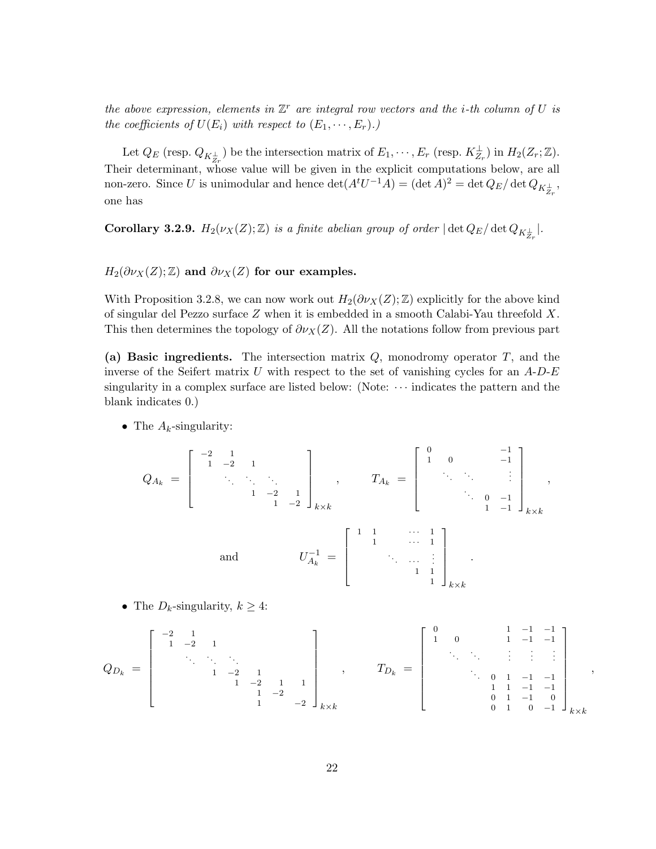the above expression, elements in  $\mathbb{Z}^r$  are integral row vectors and the *i*-th column of U is the coefficients of  $U(E_i)$  with respect to  $(E_1, \dots, E_r)$ .)

Let  $Q_E$  (resp.  $Q_{K_{Z_r}^{\perp}}$ ) be the intersection matrix of  $E_1, \dots, E_r$  (resp.  $K_{Z_r}^{\perp}$ ) in  $H_2(Z_r; \mathbb{Z})$ . Their determinant, whose value will be given in the explicit computations below, are all non-zero. Since U is unimodular and hence  $\det(A^t U^{-1} A) = (\det A)^2 = \det Q_E / \det Q_{K_{Z_r}^{\perp}}$ , one has

**Corollary 3.2.9.**  $H_2(\nu_X(Z); \mathbb{Z})$  is a finite abelian group of order  $|\det Q_E/\det Q_{K_{Z_r}^{\perp}}|$ .

 $H_2(\partial \nu_X(Z);\mathbb{Z})$  and  $\partial \nu_X(Z)$  for our examples.

With Proposition 3.2.8, we can now work out  $H_2(\partial \nu_X(Z);\mathbb{Z})$  explicitly for the above kind of singular del Pezzo surface Z when it is embedded in a smooth Calabi-Yau threefold X. This then determines the topology of  $\partial \nu_X(Z)$ . All the notations follow from previous part

(a) Basic ingredients. The intersection matrix  $Q$ , monodromy operator  $T$ , and the inverse of the Seifert matrix U with respect to the set of vanishing cycles for an  $A-D-E$ singularity in a complex surface are listed below: (Note:  $\cdots$  indicates the pattern and the blank indicates 0.)

• The  $A_k$ -singularity:

$$
Q_{A_k} = \begin{bmatrix} -2 & 1 & & & & \\ 1 & -2 & 1 & & & \\ & \ddots & \ddots & \ddots & & \\ & & 1 & -2 & 1 & \\ & & & 1 & -2 & 1 \end{bmatrix}_{k \times k}, \qquad T_{A_k} = \begin{bmatrix} 0 & 0 & & -1 & \\ 1 & 0 & & -1 & \\ & \ddots & \ddots & & \vdots \\ & & \ddots & 0 & -1 & \\ & & & 1 & -1 & 1 \end{bmatrix}_{k \times k},
$$
 and 
$$
U_{A_k}^{-1} = \begin{bmatrix} 1 & 1 & & & & 1 \\ & 1 & \cdots & 1 & \\ & & \ddots & & \vdots \\ & & & 1 & 1 \\ & & & & 1 \end{bmatrix}_{k \times k}
$$

• The  $D_k$ -singularity,  $k \geq 4$ :

$$
Q_{D_k} = \begin{bmatrix} -2 & 1 & & & & & & \\ 1 & -2 & 1 & & & & & \\ & \ddots & \ddots & \ddots & & & & \\ & & 1 & -2 & 1 & & \\ & & & 1 & -2 & 1 & 1 \\ & & & & & 1 & -2 \end{bmatrix}_k \times k, \qquad T_{D_k} = \begin{bmatrix} 0 & 0 & 1 & -1 & -1 & \\ 1 & 0 & 1 & -1 & -1 & \\ & \ddots & \ddots & \ddots & \vdots & \vdots & \vdots \\ & & & 0 & 1 & -1 & -1 \\ & & & & 1 & 1 & -1 & -1 \\ & & & & & 0 & 1 & -1 & 0 \\ & & & & & & 0 & 1 & 0 \\ & & & & & & & 0 \end{bmatrix}_{{k \times k}},
$$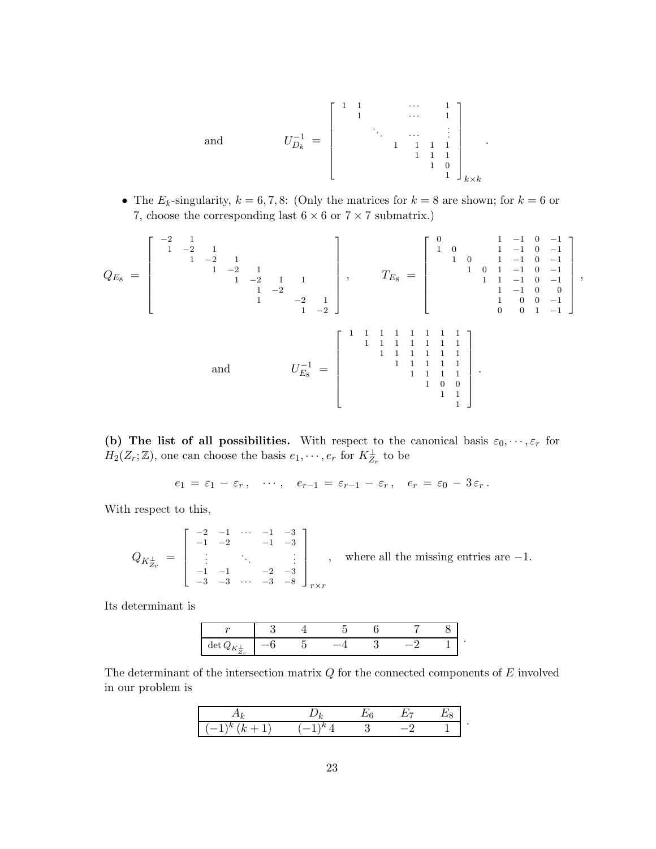and 
$$
U_{D_k}^{-1} = \begin{bmatrix} 1 & 1 & & & & \cdots & & 1 \\ & 1 & & & & & & \cdots & & 1 \\ & & \ddots & & & & & & \vdots & \\ & & & 1 & 1 & 1 & 1 & & 1 \\ & & & & & 1 & 1 & 1 & 1 \\ & & & & & & 1 & 0 & 1 \\ & & & & & & & 1 & 0 \end{bmatrix}_{k \times k}
$$

.

• The  $E_k$ -singularity,  $k = 6, 7, 8$ : (Only the matrices for  $k = 8$  are shown; for  $k = 6$  or 7, choose the corresponding last  $6 \times 6$  or  $7 \times 7$  submatrix.)

QE<sup>8</sup> = −2 1 1 −2 1 1 −2 1 1 −2 1 1 −2 1 1 1 −2 1 −2 1 1 −2 , TE<sup>8</sup> = 0 1 −1 0 −1 1 0 1 −1 0 −1 1 0 1 −1 0 −1 1 0 1 −1 0 −1 1 1 −1 0 −1 1 −1 0 0 1 0 0 −1 0 0 1 −1 , and U −1 E<sup>8</sup> = 1 1 1 1 1 1 1 1 1 1 1 1 1 1 1 1 1 1 1 1 1 1 1 1 1 1 1 1 1 1 1 0 0 1 1 1 .

(b) The list of all possibilities. With respect to the canonical basis  $\varepsilon_0, \dots, \varepsilon_r$  for  $H_2(Z_r; \mathbb{Z})$ , one can choose the basis  $e_1, \dots, e_r$  for  $K_{Z_r}^{\perp}$  to be

$$
e_1 = \varepsilon_1 - \varepsilon_r, \quad \cdots, \quad e_{r-1} = \varepsilon_{r-1} - \varepsilon_r, \quad e_r = \varepsilon_0 - 3\varepsilon_r.
$$

With respect to this,

$$
Q_{K_{Z_r}^{\perp}} = \begin{bmatrix} -2 & -1 & \cdots & -1 & -3 \\ -1 & -2 & & -1 & -3 \\ \vdots & & \ddots & & \vdots \\ -1 & -1 & & -2 & -3 \\ -3 & -3 & \cdots & -3 & -8 \end{bmatrix}_{r \times r}, \text{ where all the missing entries are } -1.
$$

Its determinant is

| $\sim$                                                 |  |  |  |  |
|--------------------------------------------------------|--|--|--|--|
| aet<br>$\overline{ }$<br>. .<br><b>CONTRACTOR</b><br>∠ |  |  |  |  |

The determinant of the intersection matrix  $Q$  for the connected components of  $E$  involved in our problem is

| ۰<br>. |  |  |  |
|--------|--|--|--|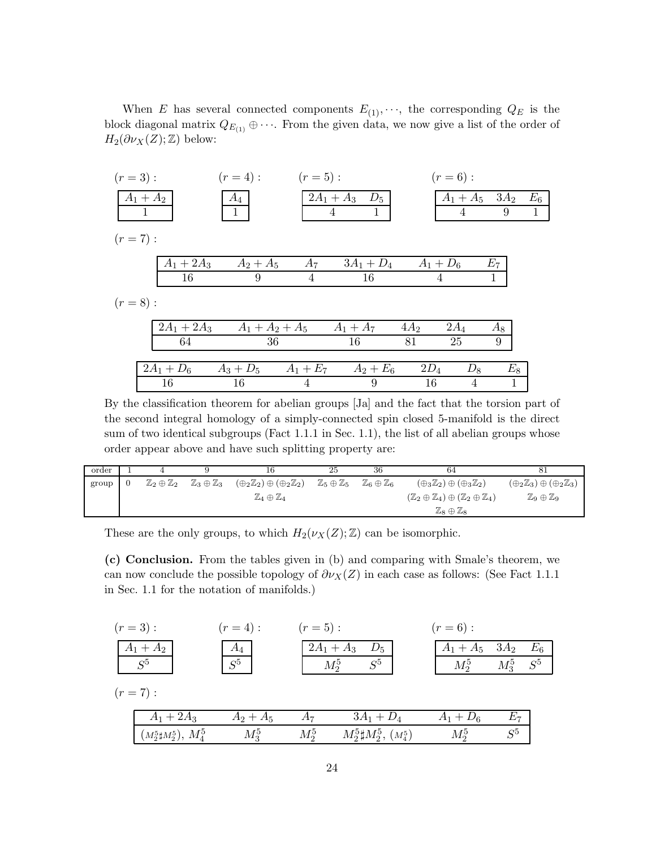When E has several connected components  $E_{(1)}, \dots$ , the corresponding  $Q_E$  is the block diagonal matrix  $Q_{E_{(1)}} \oplus \cdots$ . From the given data, we now give a list of the order of  $H_2(\partial \nu_X(Z);\mathbb{Z})$  below:

| $(r = 3)$ : |               | $(r = 4)$ :             | $(r = 5)$ :    |                          |        | $(r = 6)$ :         |       |              |
|-------------|---------------|-------------------------|----------------|--------------------------|--------|---------------------|-------|--------------|
|             | $A_1 + A_2$   | $A_4$                   |                | $2A_1 + A_3$ $D_5$       |        | $A_1 + A_5$ 3 $A_2$ |       | $E_6$        |
|             |               | 1                       |                | 4                        |        | 4                   | 9     | $\mathbf{1}$ |
| $(r = 7)$ : |               |                         |                |                          |        |                     |       |              |
|             | $A_1 + 2A_3$  | $A_2 + A_5$             | $A_7$          | $3A_1 + D_4$ $A_1 + D_6$ |        |                     | $E_7$ |              |
|             | 16            | 9                       | $\overline{4}$ | 16                       | 4      |                     |       |              |
| $(r = 8)$ : |               |                         |                |                          |        |                     |       |              |
|             | $2A_1 + 2A_3$ | $A_1 + A_2 + A_5$       |                | $A_1 + A_7$              | $4A_2$ | $2A_4$              | $A_8$ |              |
|             | 64            | 36                      |                | 16                       | 81     | 25                  | 9     |              |
|             | $2A_1 + D_6$  | $A_3 + D_5$ $A_1 + E_7$ |                | $A_2 + E_6$              | $2D_4$ | $D_8$               | $E_8$ |              |
|             | 16            | 16                      | 4              | 9                        | 16     | 4                   | 1     |              |

By the classification theorem for abelian groups [Ja] and the fact that the torsion part of the second integral homology of a simply-connected spin closed 5-manifold is the direct sum of two identical subgroups (Fact 1.1.1 in Sec. 1.1), the list of all abelian groups whose order appear above and have such splitting property are:

| order |                                  |                                    | 16                                                       | 25                               | 36                                 | -64                                                                            | -81                                                      |
|-------|----------------------------------|------------------------------------|----------------------------------------------------------|----------------------------------|------------------------------------|--------------------------------------------------------------------------------|----------------------------------------------------------|
| group | $\mathbb{Z}_2\oplus\mathbb{Z}_2$ | $\mathbb{Z}_3 \oplus \mathbb{Z}_3$ | $(\oplus_2 \mathbb{Z}_2) \oplus (\oplus_2 \mathbb{Z}_2)$ | $\mathbb{Z}_5\oplus\mathbb{Z}_5$ | $\mathbb{Z}_6 \oplus \mathbb{Z}_6$ | $(\oplus_3 \mathbb{Z}_2) \oplus (\oplus_3 \mathbb{Z}_2)$                       | $(\oplus_2 \mathbb{Z}_3) \oplus (\oplus_2 \mathbb{Z}_3)$ |
|       |                                  |                                    | $\mathbb{Z}_4\oplus\mathbb{Z}_4$                         |                                  |                                    | $(\mathbb{Z}_2 \oplus \mathbb{Z}_4) \oplus (\mathbb{Z}_2 \oplus \mathbb{Z}_4)$ | $\mathbb{Z}_9 \oplus \mathbb{Z}_9$                       |
|       |                                  |                                    |                                                          |                                  |                                    | $\mathbb{Z}_8 \oplus \mathbb{Z}_8$                                             |                                                          |

These are the only groups, to which  $H_2(\nu_X(Z); \mathbb{Z})$  can be isomorphic.

(c) Conclusion. From the tables given in (b) and comparing with Smale's theorem, we can now conclude the possible topology of  $\partial v_X(Z)$  in each case as follows: (See Fact 1.1.1 in Sec. 1.1 for the notation of manifolds.)

| $(r = 3)$ :                   | $(r = 4)$ : | $(r = 5)$ : |                                  | $(r = 6)$ :         |               |             |
|-------------------------------|-------------|-------------|----------------------------------|---------------------|---------------|-------------|
| $A_1+A_2$                     | $A_4$       |             | $2A_1 + A_3$ $D_5$               | $A_1 + A_5$ 3 $A_2$ |               | $E_{\rm 6}$ |
| $S^5$                         | $S^5$       |             | $M_2^5$<br>$S^5$                 | $M_2^5$             | $M_3^5$ $S^5$ |             |
| $(r = 7)$ :                   |             |             |                                  |                     |               |             |
| $A_1 + 2A_3$                  | $A_2 + A_5$ | $A_7$       | $3A_1 + D_4$                     | $A_1 + D_6$         | $E_7$         |             |
| $(M_2^5 \sharp M_2^5), M_4^5$ | $M_3^5$     | $M_2^5$     | $M_2^5 \sharp M_2^5$ , $(M_4^5)$ | $M_2^5$             | $S^5$         |             |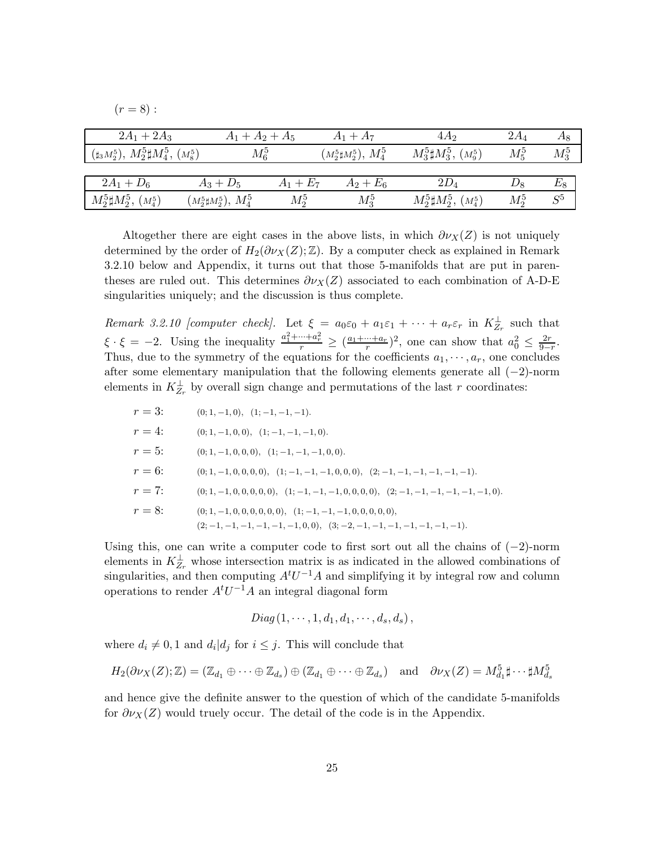|  | ٠ |  |
|--|---|--|

| $2A_1 + 2A_3$                                 | $A_1 + A_2 + A_5$                            |             | $A_1 + A_7$                   | 4A <sub>2</sub>                  | $2A_4$  | Ag      |
|-----------------------------------------------|----------------------------------------------|-------------|-------------------------------|----------------------------------|---------|---------|
| $(\sharp_3M_2^5), M_2^5\sharp M_4^5, (M_8^5)$ | $M_6^5$                                      |             | $(M_2^5 \sharp M_2^5), M_4^5$ | $M_3^5 \sharp M_3^5$ , $(M_9^5)$ | $M_5^5$ | $M_3^5$ |
|                                               |                                              |             |                               |                                  |         |         |
| $2A_1 + D_6$                                  | $A_3 + D_5$                                  | $A_1 + E_7$ | $A_2 + E_6$                   | $2D_4$                           | $D_8$   | $E_{8}$ |
| $M_2^5 \sharp M_2^5$ , $(M_4^5)$              | $\left( M_2^5 \sharp M_2^5 \right),\, M_4^5$ | $M_2^5$     | $M_3^5$                       | $M_2^5 \sharp M_2^5$ , $(M_4^5)$ | $M_2^5$ | $S^5$   |

Altogether there are eight cases in the above lists, in which  $\partial \nu_X(Z)$  is not uniquely determined by the order of  $H_2(\partial \nu_X(Z); \mathbb{Z})$ . By a computer check as explained in Remark 3.2.10 below and Appendix, it turns out that those 5-manifolds that are put in parentheses are ruled out. This determines  $\partial v_X(Z)$  associated to each combination of A-D-E singularities uniquely; and the discussion is thus complete.

Remark 3.2.10 [computer check]. Let  $\xi = a_0 \varepsilon_0 + a_1 \varepsilon_1 + \cdots + a_r \varepsilon_r$  in  $K_{Z_r}^{\perp}$  such that  $\xi \cdot \xi = -2$ . Using the inequality  $\frac{a_1^2 + \dots + a_r^2}{r} \ge (\frac{a_1 + \dots + a_r}{r})^2$ , one can show that  $a_0^2 \le \frac{2r}{9-r}$  $rac{2r}{9-r}$ . Thus, due to the symmetry of the equations for the coefficients  $a_1, \dots, a_r$ , one concludes after some elementary manipulation that the following elements generate all  $(-2)$ -norm elements in  $K_{Z_r}^{\perp}$  by overall sign change and permutations of the last r coordinates:

| $r = 3$ :                                                                  | $(0; 1, -1, 0), (1; -1, -1, -1)$ .                                                             |
|----------------------------------------------------------------------------|------------------------------------------------------------------------------------------------|
| $r = 4$ :                                                                  | $(0; 1, -1, 0, 0), (1; -1, -1, -1, 0)$ .                                                       |
| $r = 5$ :                                                                  | $(0; 1, -1, 0, 0, 0), (1; -1, -1, -1, 0, 0)$ .                                                 |
| $r = 6$ :                                                                  | $(0; 1, -1, 0, 0, 0, 0), (1; -1, -1, -1, 0, 0, 0), (2; -1, -1, -1, -1, -1, -1)$ .              |
| $r = 7$ :                                                                  | $(0; 1, -1, 0, 0, 0, 0, 0), (1; -1, -1, -1, 0, 0, 0, 0), (2; -1, -1, -1, -1, -1, -1, -1, 0)$ . |
| $r = 8$ :                                                                  | $(0; 1, -1, 0, 0, 0, 0, 0), (1; -1, -1, -1, 0, 0, 0, 0, 0)$ .                                  |
| $(2; -1, -1, -1, -1, -1, -1, 0, 0), (3; -2, -1, -1, -1, -1, -1, -1, -1)$ . |                                                                                                |

Using this, one can write a computer code to first sort out all the chains of  $(-2)$ -norm elements in  $K^{\perp}_{Z_r}$  whose intersection matrix is as indicated in the allowed combinations of singularities, and then computing  $A<sup>t</sup>U<sup>-1</sup>A$  and simplifying it by integral row and column operations to render  $A<sup>t</sup>U<sup>-1</sup>A$  an integral diagonal form

$$
Diag\left(1,\cdots,1,d_1,d_1,\cdots,d_s,d_s\right),\,
$$

where  $d_i \neq 0, 1$  and  $d_i | d_j$  for  $i \leq j$ . This will conclude that

$$
H_2(\partial \nu_X(Z);\mathbb{Z}) = (\mathbb{Z}_{d_1} \oplus \cdots \oplus \mathbb{Z}_{d_s}) \oplus (\mathbb{Z}_{d_1} \oplus \cdots \oplus \mathbb{Z}_{d_s}) \quad \text{and} \quad \partial \nu_X(Z) = M_{d_1}^5 \sharp \cdots \sharp M_{d_s}^5
$$

and hence give the definite answer to the question of which of the candidate 5-manifolds for  $\partial \nu_X(Z)$  would truely occur. The detail of the code is in the Appendix.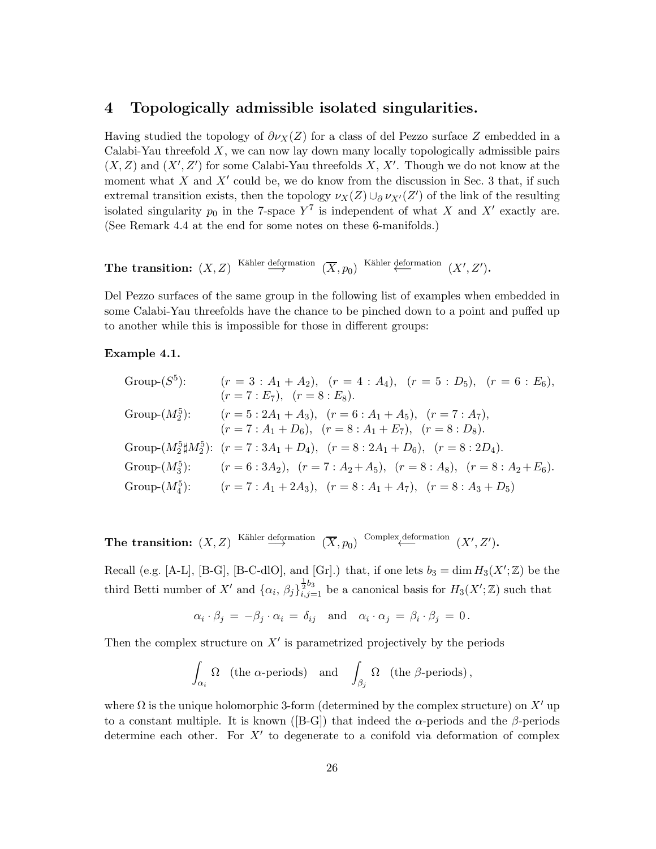## 4 Topologically admissible isolated singularities.

Having studied the topology of  $\partial v_X(Z)$  for a class of del Pezzo surface Z embedded in a Calabi-Yau threefold  $X$ , we can now lay down many locally topologically admissible pairs  $(X, Z)$  and  $(X', Z')$  for some Calabi-Yau threefolds X, X'. Though we do not know at the moment what X and  $X'$  could be, we do know from the discussion in Sec. 3 that, if such extremal transition exists, then the topology  $\nu_X(Z) \cup_{\partial} \nu_{X'}(Z')$  of the link of the resulting isolated singularity  $p_0$  in the 7-space  $Y^7$  is independent of what X and X' exactly are. (See Remark 4.4 at the end for some notes on these 6-manifolds.)

The transition:  $(X, Z)$  <sup>Kähler</sup> deformation  $(\overline{X}, p_0)$  <sup>Kähler</sup> deformation  $(X', Z')$ .

Del Pezzo surfaces of the same group in the following list of examples when embedded in some Calabi-Yau threefolds have the chance to be pinched down to a point and puffed up to another while this is impossible for those in different groups:

### Example 4.1.

Group-(S<sup>5</sup>): 
$$
(r = 3 : A_1 + A_2)
$$
,  $(r = 4 : A_4)$ ,  $(r = 5 : D_5)$ ,  $(r = 6 : E_6)$ ,  
\n $(r = 7 : E_7)$ ,  $(r = 8 : E_8)$ .  
\nGroup-(M<sup>5</sup><sub>2</sub>):  $(r = 5 : 2A_1 + A_3)$ ,  $(r = 6 : A_1 + A_5)$ ,  $(r = 7 : A_7)$ ,  
\n $(r = 7 : A_1 + D_6)$ ,  $(r = 8 : A_1 + E_7)$ ,  $(r = 8 : D_8)$ .  
\nGroup-(M<sup>5</sup><sub>2</sub> $\sharp$ M<sup>5</sup><sub>2</sub>):  $(r = 7 : 3A_1 + D_4)$ ,  $(r = 8 : 2A_1 + D_6)$ ,  $(r = 8 : 2D_4)$ .  
\nGroup-(M<sup>5</sup><sub>3</sub>):  $(r = 6 : 3A_2)$ ,  $(r = 7 : A_2 + A_5)$ ,  $(r = 8 : A_8)$ ,  $(r = 8 : A_2 + E_6)$ .  
\nGroup-(M<sup>5</sup><sub>4</sub>):  $(r = 7 : A_1 + 2A_3)$ ,  $(r = 8 : A_1 + A_7)$ ,  $(r = 8 : A_3 + D_5)$ 

The transition:  $(X, Z)$  Kähler deformation  $(\overline{X}, p_0)$  Complex deformation  $(X', Z')$ .

Recall (e.g. [A-L], [B-G], [B-C-dlO], and [Gr].) that, if one lets  $b_3 = \dim H_3(X';\mathbb{Z})$  be the third Betti number of X' and  $\{\alpha_i, \beta_j\}_{i,j=1}^{\frac{1}{2}b_3}$  be a canonical basis for  $H_3(X';\mathbb{Z})$  such that

$$
\alpha_i \cdot \beta_j = -\beta_j \cdot \alpha_i = \delta_{ij} \text{ and } \alpha_i \cdot \alpha_j = \beta_i \cdot \beta_j = 0.
$$

Then the complex structure on  $X'$  is parametrized projectively by the periods

$$
\int_{\alpha_i} \Omega \quad \text{(the $\alpha$-periods)} \quad \text{and} \quad \int_{\beta_j} \Omega \quad \text{(the $\beta$-periods)}\,,
$$

where  $\Omega$  is the unique holomorphic 3-form (determined by the complex structure) on  $X'$  up to a constant multiple. It is known ([B-G]) that indeed the  $\alpha$ -periods and the  $\beta$ -periods determine each other. For  $X'$  to degenerate to a conifold via deformation of complex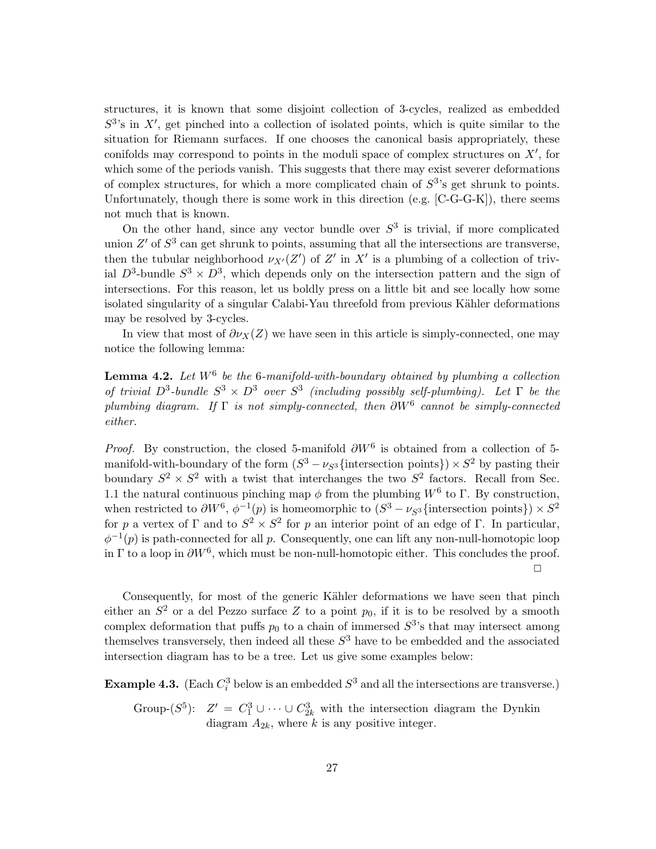structures, it is known that some disjoint collection of 3-cycles, realized as embedded  $S<sup>3</sup>$ 's in X', get pinched into a collection of isolated points, which is quite similar to the situation for Riemann surfaces. If one chooses the canonical basis appropriately, these conifolds may correspond to points in the moduli space of complex structures on X′ , for which some of the periods vanish. This suggests that there may exist severer deformations of complex structures, for which a more complicated chain of  $S<sup>3</sup>$ 's get shrunk to points. Unfortunately, though there is some work in this direction (e.g.  $[C-G-G-K]$ ), there seems not much that is known.

On the other hand, since any vector bundle over  $S<sup>3</sup>$  is trivial, if more complicated union  $Z'$  of  $S^3$  can get shrunk to points, assuming that all the intersections are transverse, then the tubular neighborhood  $\nu_{X'}(Z')$  of  $Z'$  in  $X'$  is a plumbing of a collection of trivial  $D^3$ -bundle  $S^3 \times D^3$ , which depends only on the intersection pattern and the sign of intersections. For this reason, let us boldly press on a little bit and see locally how some isolated singularity of a singular Calabi-Yau threefold from previous Kähler deformations may be resolved by 3-cycles.

In view that most of  $\partial \nu_X(Z)$  we have seen in this article is simply-connected, one may notice the following lemma:

**Lemma 4.2.** Let  $W^6$  be the 6-manifold-with-boundary obtained by plumbing a collection of trivial  $D^3$ -bundle  $S^3 \times D^3$  over  $S^3$  (including possibly self-plumbing). Let  $\Gamma$  be the plumbing diagram. If  $\Gamma$  is not simply-connected, then  $\partial W^6$  cannot be simply-connected either.

*Proof.* By construction, the closed 5-manifold  $\partial W^6$  is obtained from a collection of 5manifold-with-boundary of the form  $(S^3 - \nu_{S^3}$  {intersection points}) ×  $S^2$  by pasting their boundary  $S^2 \times S^2$  with a twist that interchanges the two  $S^2$  factors. Recall from Sec. 1.1 the natural continuous pinching map  $\phi$  from the plumbing  $W^6$  to  $\Gamma$ . By construction, when restricted to  $\partial W^6$ ,  $\phi^{-1}(p)$  is homeomorphic to  $(S^3 - \nu_{S^3}$  {intersection points}) ×  $S^2$ for p a vertex of  $\Gamma$  and to  $S^2 \times S^2$  for p an interior point of an edge of  $\Gamma$ . In particular,  $\phi^{-1}(p)$  is path-connected for all p. Consequently, one can lift any non-null-homotopic loop in  $\Gamma$  to a loop in  $\partial W^6$ , which must be non-null-homotopic either. This concludes the proof.  $\Box$ 

Consequently, for most of the generic Kähler deformations we have seen that pinch either an  $S^2$  or a del Pezzo surface Z to a point  $p_0$ , if it is to be resolved by a smooth complex deformation that puffs  $p_0$  to a chain of immersed  $S^3$ 's that may intersect among themselves transversely, then indeed all these  $S<sup>3</sup>$  have to be embedded and the associated intersection diagram has to be a tree. Let us give some examples below:

**Example 4.3.** (Each  $C_i^3$  below is an embedded  $S^3$  and all the intersections are transverse.)

Group- $(S^5)$ :  $Z' = C_1^3 \cup \cdots \cup C_{2k}^3$  with the intersection diagram the Dynkin diagram  $A_{2k}$ , where k is any positive integer.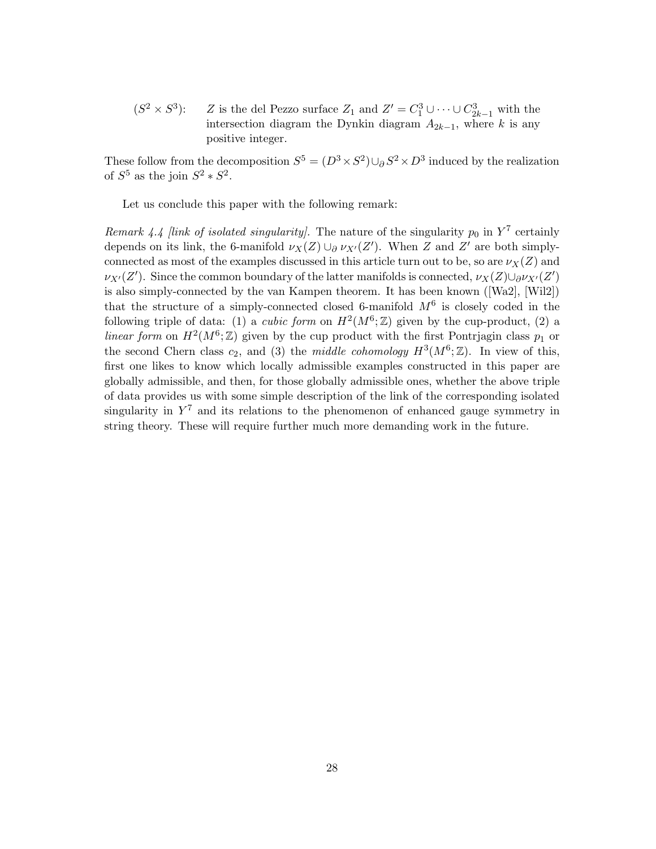$(S^2 \times S^3)$ ): Z is the del Pezzo surface  $Z_1$  and  $Z' = C_1^3 \cup \cdots \cup C_{2k-1}^3$  with the intersection diagram the Dynkin diagram  $A_{2k-1}$ , where k is any positive integer.

These follow from the decomposition  $S^5 = (D^3 \times S^2) \cup_{\partial} S^2 \times D^3$  induced by the realization of  $S^5$  as the join  $S^2 * S^2$ .

Let us conclude this paper with the following remark:

Remark 4.4 [link of isolated singularity]. The nature of the singularity  $p_0$  in  $Y^7$  certainly depends on its link, the 6-manifold  $\nu_X(Z) \cup_{\partial} \nu_{X'}(Z')$ . When Z and Z' are both simplyconnected as most of the examples discussed in this article turn out to be, so are  $\nu_X(Z)$  and  $\nu_{X'}(Z')$ . Since the common boundary of the latter manifolds is connected,  $\nu_X(Z) \cup \partial \nu_{X'}(Z')$ is also simply-connected by the van Kampen theorem. It has been known ([Wa2], [Wil2]) that the structure of a simply-connected closed 6-manifold  $M^6$  is closely coded in the following triple of data: (1) a *cubic form* on  $H^2(M^6; \mathbb{Z})$  given by the cup-product, (2) a linear form on  $H^2(M^6; \mathbb{Z})$  given by the cup product with the first Pontrjagin class  $p_1$  or the second Chern class  $c_2$ , and (3) the *middle cohomology*  $H^3(M^6; \mathbb{Z})$ . In view of this, first one likes to know which locally admissible examples constructed in this paper are globally admissible, and then, for those globally admissible ones, whether the above triple of data provides us with some simple description of the link of the corresponding isolated singularity in  $Y^7$  and its relations to the phenomenon of enhanced gauge symmetry in string theory. These will require further much more demanding work in the future.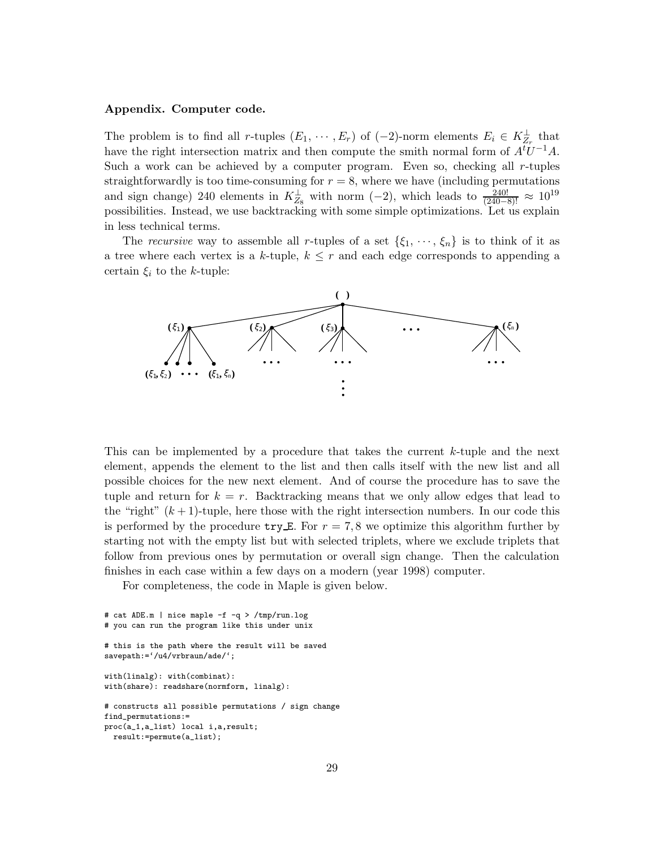#### Appendix. Computer code.

The problem is to find all r-tuples  $(E_1, \dots, E_r)$  of  $(-2)$ -norm elements  $E_i \in K_{Z_r}^{\perp}$  that have the right intersection matrix and then compute the smith normal form of  $A<sup>t</sup>U<sup>-1</sup>A$ . Such a work can be achieved by a computer program. Even so, checking all r-tuples straightforwardly is too time-consuming for  $r = 8$ , where we have (including permutations and sign change) 240 elements in  $K_{Z_8}^{\perp}$  with norm  $(-2)$ , which leads to  $\frac{240!}{(240-8)!} \approx 10^{19}$ possibilities. Instead, we use backtracking with some simple optimizations. Let us explain in less technical terms.

The recursive way to assemble all r-tuples of a set  $\{\xi_1, \dots, \xi_n\}$  is to think of it as a tree where each vertex is a k-tuple,  $k \leq r$  and each edge corresponds to appending a certain  $\xi_i$  to the k-tuple:



This can be implemented by a procedure that takes the current k-tuple and the next element, appends the element to the list and then calls itself with the new list and all possible choices for the new next element. And of course the procedure has to save the tuple and return for  $k = r$ . Backtracking means that we only allow edges that lead to the "right"  $(k+1)$ -tuple, here those with the right intersection numbers. In our code this is performed by the procedure  $\text{try}\,\mathbf{E}$ . For  $r=7,8$  we optimize this algorithm further by starting not with the empty list but with selected triplets, where we exclude triplets that follow from previous ones by permutation or overall sign change. Then the calculation finishes in each case within a few days on a modern (year 1998) computer.

For completeness, the code in Maple is given below.

```
# cat ADE.m | nice maple -f -q > /tmp/run.log
# you can run the program like this under unix
# this is the path where the result will be saved
savepath:='/u4/vrbraun/ade/';
with(linalg): with(combinat):
with(share): readshare(normform, linalg):
# constructs all possible permutations / sign change
find_permutations:=
proc(a_1,a_list) local i,a,result;
 result:=permute(a_list);
```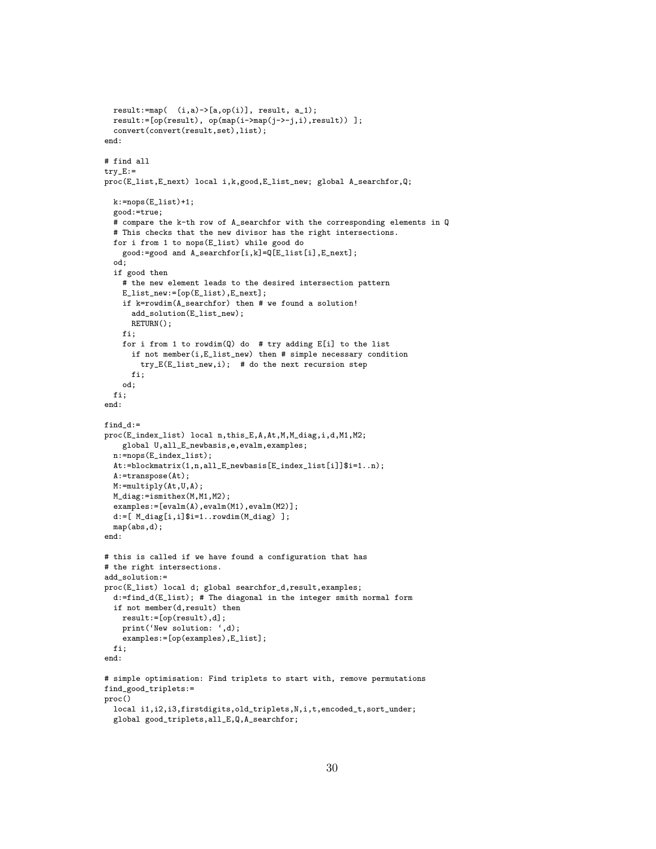```
result:=map(-i,a)->[a,op(i)], result, a_1);result:=[op(result), op(map(i->map(j->-j,i),result)) ];
 convert(convert(result,set),list);
end:
# find all
try_E:=proc(E_list,E_next) local i,k,good,E_list_new; global A_searchfor,Q;
 k:=nops(E_1list)+1;good:=true;
 # compare the k-th row of A_searchfor with the corresponding elements in Q
  # This checks that the new divisor has the right intersections.
 for i from 1 to nops(E_list) while good do
   good:=good and A_searchfor[i,k]=Q[E_list[i],E_next];
  od;
  if good then
    # the new element leads to the desired intersection pattern
    E_list_new:=[op(E_list),E_next];
    if k=rowdim(A_searchfor) then # we found a solution!
      add_solution(E_list_new);
      RETURN();
    fi;
    for i from 1 to rowdim(Q) do # try adding E[i] to the list
      if not member(i,E_list_new) then # simple necessary condition
        try_E(E_list_new,i); # do the next recursion step
      fi;
    od;
 fi;
end:
find_d:=
proc(E_index_list) local n,this_E,A,At,M,M_diag,i,d,M1,M2;
    global U,all_E_newbasis,e,evalm,examples;
 n:=nops(E_index_list);
 At:=blockmatrix(1,n,all_E_newbasis[E_index_list[i]]$i=1..n);
 A:=transpose(At);
 M:=multiply(At,U,A);
 M_diag:=ismithex(M,M1,M2);
  examples:=[evalm(A),evalm(M1),evalm(M2)];
 d:=[ M_diag[i,i]$i=1..rowdim(M_diag) ];
 map(abs,d);
end:
# this is called if we have found a configuration that has
# the right intersections.
add_solution:=
proc(E_list) local d; global searchfor_d,result,examples;
 d:=find_d(E_list); # The diagonal in the integer smith normal form
  if not member(d,result) then
   result:=[op(result),d];
    print('New solution: ',d);
    examples:=[op(examples),E_list];
 fi;
end:
# simple optimisation: Find triplets to start with, remove permutations
find_good_triplets:=
proc()
 local i1,i2,i3,firstdigits,old_triplets,N,i,t,encoded_t,sort_under;
  global good_triplets,all_E,Q,A_searchfor;
```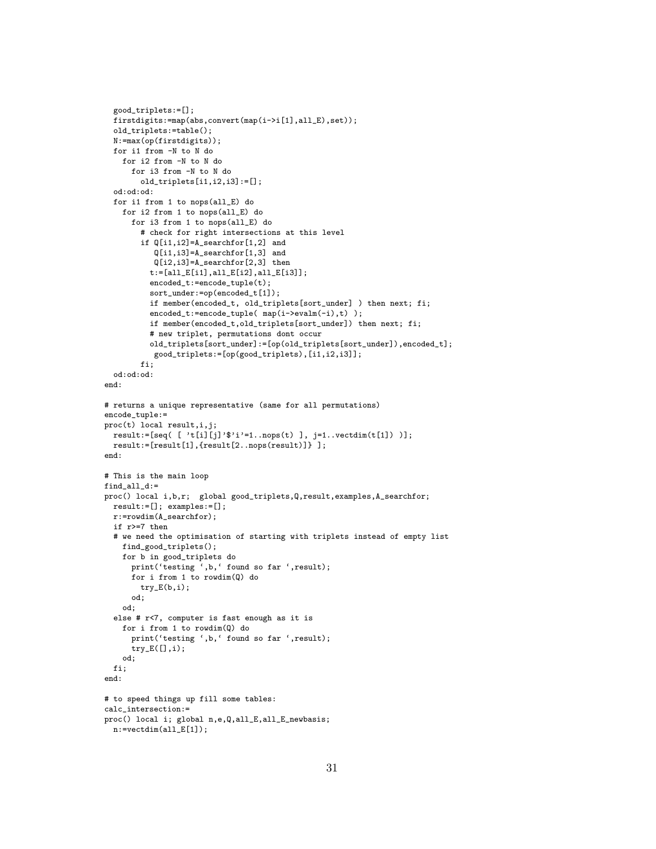```
good_triplets:=[];
  firstdigits:=map(abs,convert(map(i->i[1],all_E),set));
 old_triplets:=table();
 N:=max(op(firstdigits));
 for i1 from -N to N do
    for i2 from -N to N do
      for i3 from -N to N do
        old_triplets[i1,i2,i3]:=[];
  od:od:od:
 for i1 from 1 to nops(all_E) do
    for i2 from 1 to nops(all_E) do
      for i3 from 1 to nops(all_E) do
        # check for right intersections at this level
        if Q[i1,i2]=A_searchfor[1,2] and
           Q[i1,i3]=A_searchfor[1,3] and
           Q[i2,i3]=A_searchfor[2,3] then
          t:=[all_E[i1],all_E[i2],all_E[i3]];
          encoded_t:=encode_tuple(t);
          sort_under:=op(encoded_t[1]);
          if member(encoded_t, old_triplets[sort_under] ) then next; fi;
          encoded_t:=encode_tuple( map(i->evalm(-i),t) );
          if member(encoded_t,old_triplets[sort_under]) then next; fi;
          # new triplet, permutations dont occur
          old_triplets[sort_under]:=[op(old_triplets[sort_under]),encoded_t];
           good_triplets:=[op(good_triplets),[i1,i2,i3]];
        f:od:od:od:
end:
# returns a unique representative (same for all permutations)
encode_tuple:=
proc(t) local result,i,j;
 result \coloneqq [seq( [ 't[i][j] ' \$ 'i' = 1..nops(t) ], j = 1..vector(t[1]) )];result:=[result[1],{result[2..nops(result)]} ];
end:
# This is the main loop
find_all_d:=
proc() local i,b,r; global good_triplets,Q,result,examples,A_searchfor;
 result:=[]; examples:=[];
 r:=rowdim(A_searchfor);
  if r>=7 then
 # we need the optimisation of starting with triplets instead of empty list
   find_good_triplets();
    for b in good_triplets do
      print('testing ',b,' found so far ',result);
      for i from 1 to rowdim(Q) do
        try_E(b,i);
      od;
    od;
  else # r<7, computer is fast enough as it is
    for i from 1 to rowdim(Q) do
      print('testing ',b,' found so far ',result);
      try_E([],i);
    od;
 fi;
end:
# to speed things up fill some tables:
calc_intersection:=
proc() local i; global n,e,Q,all_E,all_E_newbasis;
```

```
n:=vectdim(all_E[1]);
```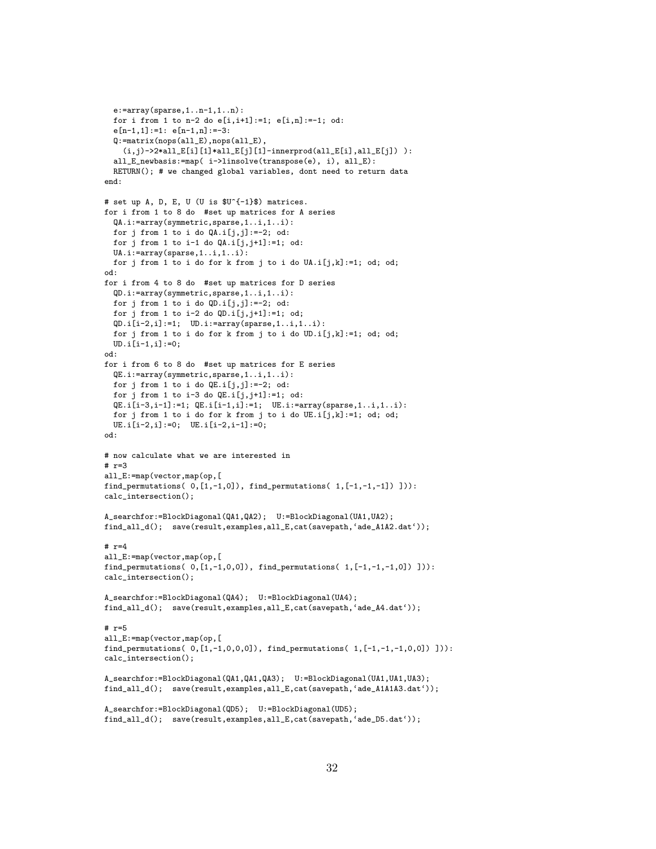```
e:=array(sparse, 1...n-1, 1...n):for i from 1 to n-2 do e[i,i+1]:=1; e[i,n]:=-1; od:
 e[n-1,1]:=1: e[n-1,n]:=3:Q:=matrix(nops(all_E),nops(all_E),
    (i,j)->2*all_E[i][1]*all_E[j][1]-innerprod(all_E[i],all_E[j])):
  all_E_newbasis:=map( i->linsolve(transpose(e), i), all_E):
 RETURN(); # we changed global variables, dont need to return data
end:
# set up A, D, E, U (U is $U^{-1}$) matrices.
for i from 1 to 8 do #set up matrices for A series
 QA.i:=array(symmetric,sparse,1..i,1..i):
 for j from 1 to i do QA.i[i,j]:=2; od:
 for j from 1 to i-1 do QA.i[j,j+1]:=1; od:
 UA.i:=array(sparse,1..i,1..i):
 for j from 1 to i do for k from j to i do UA.i[j,k]:=1; od; od;
od:
for i from 4 to 8 do #set up matrices for D series
 QD.i:=array(symmetric,sparse,1..i,1..i):
 for j from 1 to i do \mathbb{Q}D.i[j,j]:=-2; od:
 for j from 1 to i-2 do QD.i[j,j+1]:=1; od;
 QD.i[i-2,i]:=1; UD.i:=array(sparse,1..i,1..i):
 for j from 1 to i do for k from j to i do UD.i[j,k]:=1; od; od;
 UD.i[i-1,i]:=0;
od:
for i from 6 to 8 do #set up matrices for E series
 QE.i:=array(symmetric,sparse,1..i,1..i):
 for j from 1 to i do QE.i[j,j]:=-2; od:
 for j from 1 to i-3 do QE.i[j,j+1]:=1; od:
 QE.i[i-3,i-1]:=1; QE.i[i-1,i]:=1; UE.i:=array(sparse,1..i,1..i):for j from 1 to i do for k from j to i do UE.i[j,k]:=1; od; od;
 UE.i[i-2,i]:=0; UE.i[i-2,i-1]:=0;
od:
# now calculate what we are interested in
# r=3
all_E:=map(vector,map(op,[
find_permutations(0,[1,-1,0]), find_permutations(1,[-1,-1,-1])])):
calc_intersection();
A_searchfor:=BlockDiagonal(QA1,QA2); U:=BlockDiagonal(UA1,UA2);
find_all_d(); save(result,examples,all_E,cat(savepath,'ade_A1A2.dat'));
# r=4all_E:=map(vector,map(op,[
find_permutations(0, [1,-1,0,0]), find_permutations(1, [-1,-1,-1,0])])):
calc_intersection();
A_searchfor:=BlockDiagonal(QA4); U:=BlockDiagonal(UA4);
find_all_d(); save(result,examples,all_E,cat(savepath,'ade_A4.dat'));
# r=5
all_E:=map(vector,map(op,[
find_permutations(0, [1, -1, 0, 0, 0]), find_permutations(1, [-1, -1, -1, 0, 0])])):
calc_intersection();
A_searchfor:=BlockDiagonal(QA1,QA1,QA3); U:=BlockDiagonal(UA1,UA1,UA3);
find_all_d(); save(result,examples,all_E,cat(savepath,'ade_A1A1A3.dat'));
A_searchfor:=BlockDiagonal(QD5); U:=BlockDiagonal(UD5);
```

```
find_all_d(); save(result,examples,all_E,cat(savepath,'ade_D5.dat'));
```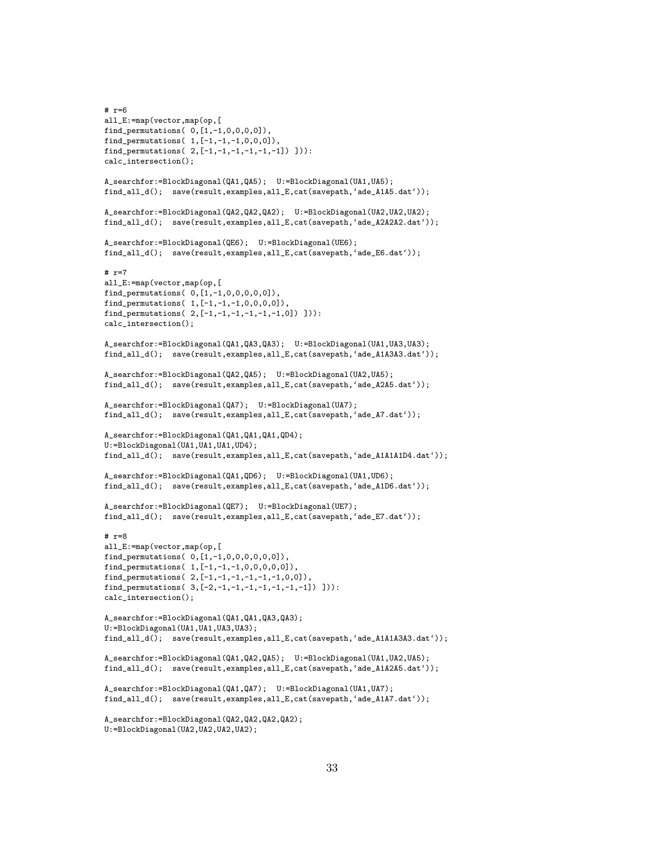```
# r=6
all_E:=map(vector,map(op,[
find_permutations( 0,[1,-1,0,0,0,0]),
find_permutations( 1, [-1,-1,-1,0,0,0]),
find_permutations( 2, [-1,-1,-1,-1,-1,-1]) ])):
calc_intersection();
A_searchfor:=BlockDiagonal(QA1,QA5); U:=BlockDiagonal(UA1,UA5);
find_all_d(); save(result,examples,all_E,cat(savepath,'ade_A1A5.dat'));
A_searchfor:=BlockDiagonal(QA2,QA2,QA2); U:=BlockDiagonal(UA2,UA2,UA2);
find_all_d(); save(result,examples,all_E,cat(savepath,'ade_A2A2A2.dat'));
A_searchfor:=BlockDiagonal(QE6); U:=BlockDiagonal(UE6);
find_all_d(); save(result,examples,all_E,cat(savepath,'ade_E6.dat'));
# r=7
all_E:=map(vector,map(op,[
find_permutations( 0,[1,-1,0,0,0,0,0]),
find_permutations( 1,[-1,-1,-1,0,0,0,0]),
find_permutations( 2,[-1,-1,-1,-1,-1,-1,0]) ])):
calc_intersection();
A_searchfor:=BlockDiagonal(QA1,QA3,QA3); U:=BlockDiagonal(UA1,UA3,UA3);
find_all_d(); save(result,examples,all_E,cat(savepath,'ade_A1A3A3.dat'));
A_searchfor:=BlockDiagonal(QA2,QA5); U:=BlockDiagonal(UA2,UA5);
find_all_d(); save(result,examples,all_E,cat(savepath,'ade_A2A5.dat'));
A_searchfor:=BlockDiagonal(QA7); U:=BlockDiagonal(UA7);
find_all_d(); save(result,examples,all_E,cat(savepath,'ade_A7.dat'));
A_searchfor:=BlockDiagonal(QA1,QA1,QA1,QD4);
U:=BlockDiagonal(UA1,UA1,UA1,UD4);
find_all_d(); save(result,examples,all_E,cat(savepath,'ade_A1A1A1D4.dat'));
A_searchfor:=BlockDiagonal(QA1,QD6); U:=BlockDiagonal(UA1,UD6);
find_all_d(); save(result,examples,all_E,cat(savepath,'ade_A1D6.dat'));
A_searchfor:=BlockDiagonal(QE7); U:=BlockDiagonal(UE7);
find_all_d(); save(result,examples,all_E,cat(savepath,'ade_E7.dat'));
# r=8
all_E:=map(vector,map(op,[
find_permutations( 0,[1,-1,0,0,0,0,0,0]),
find_permutations( 1,[-1,-1,-1,0,0,0,0,0]),
find_permutations( 2, [-1,-1,-1,-1,-1,-1,0,0]),
find_permutations( 3,[-2,-1,-1,-1,-1,-1,-1,-1]) ])):
calc_intersection();
A_searchfor:=BlockDiagonal(QA1,QA1,QA3,QA3);
U:=BlockDiagonal(UA1,UA1,UA3,UA3);
find_all_d(); save(result,examples,all_E,cat(savepath,'ade_A1A1A3A3.dat'));
A_searchfor:=BlockDiagonal(QA1,QA2,QA5); U:=BlockDiagonal(UA1,UA2,UA5);
find_all_d(); save(result,examples,all_E,cat(savepath,'ade_A1A2A5.dat'));
A_searchfor:=BlockDiagonal(QA1,QA7); U:=BlockDiagonal(UA1,UA7);
find_all_d(); save(result,examples,all_E,cat(savepath,'ade_A1A7.dat'));
A_searchfor:=BlockDiagonal(QA2,QA2,QA2,QA2);
U:=BlockDiagonal(UA2,UA2,UA2,UA2);
```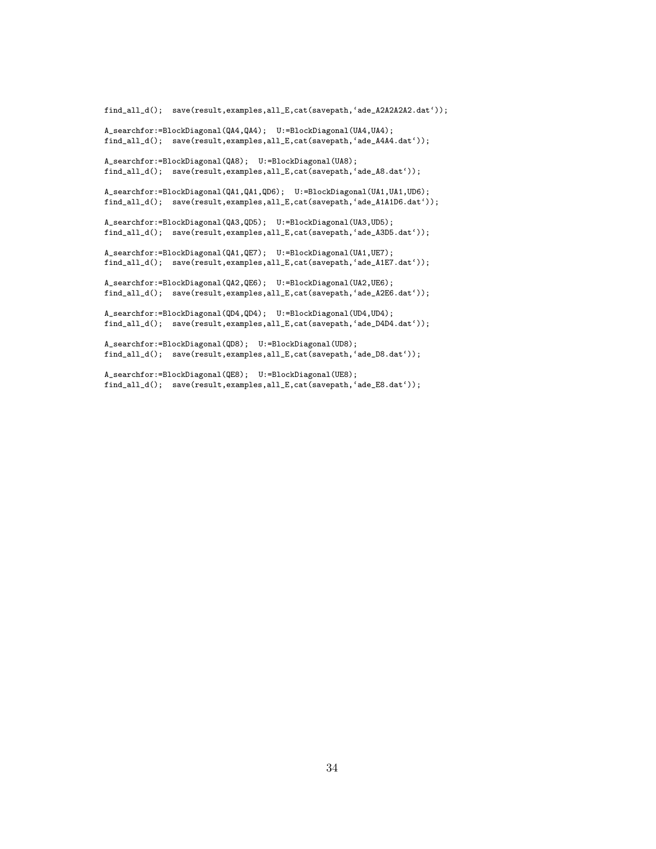```
find_all_d(); save(result,examples,all_E,cat(savepath,'ade_A2A2A2A2.dat'));
A_searchfor:=BlockDiagonal(QA4,QA4); U:=BlockDiagonal(UA4,UA4);
find_all_d(); save(result,examples,all_E,cat(savepath,'ade_A4A4.dat'));
A_searchfor:=BlockDiagonal(QA8); U:=BlockDiagonal(UA8);
find_all_d(); save(result,examples,all_E,cat(savepath,'ade_A8.dat'));
A_searchfor:=BlockDiagonal(QA1,QA1,QD6); U:=BlockDiagonal(UA1,UA1,UD6);
find_all_d(); save(result,examples,all_E,cat(savepath,'ade_A1A1D6.dat'));
A_searchfor:=BlockDiagonal(QA3,QD5); U:=BlockDiagonal(UA3,UD5);
find_all_d(); save(result,examples,all_E,cat(savepath,'ade_A3D5.dat'));
A_searchfor:=BlockDiagonal(QA1,QE7); U:=BlockDiagonal(UA1,UE7);
find_all_d(); save(result,examples,all_E,cat(savepath,'ade_A1E7.dat'));
A_searchfor:=BlockDiagonal(QA2,QE6); U:=BlockDiagonal(UA2,UE6);
find_all_d(); save(result,examples,all_E,cat(savepath,'ade_A2E6.dat'));
A_searchfor:=BlockDiagonal(QD4,QD4); U:=BlockDiagonal(UD4,UD4);
find_all_d(); save(result,examples,all_E,cat(savepath,'ade_D4D4.dat'));
A_searchfor:=BlockDiagonal(QD8); U:=BlockDiagonal(UD8);
find_all_d(); save(result,examples,all_E,cat(savepath,'ade_D8.dat'));
```
A\_searchfor:=BlockDiagonal(QE8); U:=BlockDiagonal(UE8); find\_all\_d(); save(result,examples,all\_E,cat(savepath,'ade\_E8.dat'));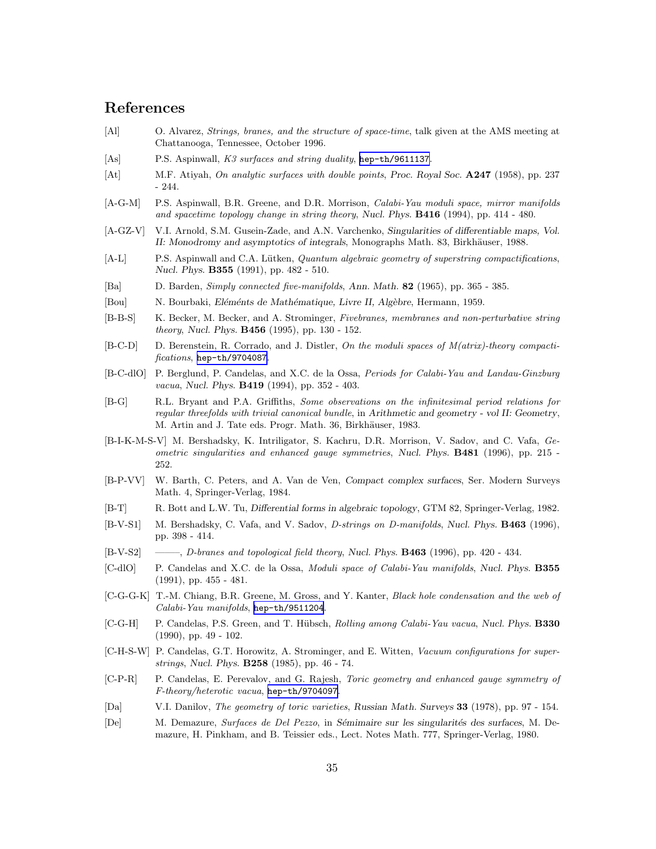# References

- [Al] O. Alvarez, Strings, branes, and the structure of space-time, talk given at the AMS meeting at Chattanooga, Tennessee, October 1996.
- [As] P.S. Aspinwall, K3 surfaces and string duality, [hep-th/9611137](http://arxiv.org/abs/hep-th/9611137).
- [At] M.F. Atiyah, On analytic surfaces with double points, Proc. Royal Soc. A247 (1958), pp. 237 - 244.
- [A-G-M] P.S. Aspinwall, B.R. Greene, and D.R. Morrison, *Calabi-Yau moduli space, mirror manifolds* and spacetime topology change in string theory, Nucl. Phys. B416 (1994), pp. 414 - 480.
- [A-GZ-V] V.I. Arnold, S.M. Gusein-Zade, and A.N. Varchenko, Singularities of differentiable maps, Vol. II: Monodromy and asymptotics of integrals, Monographs Math. 83, Birkhäuser, 1988.
- [A-L] P.S. Aspinwall and C.A. Lütken, *Quantum algebraic geometry of superstring compactifications*, Nucl. Phys. B355 (1991), pp. 482 - 510.
- [Ba] D. Barden, Simply connected five-manifolds, Ann. Math. 82 (1965), pp. 365 385.
- [Bou] N. Bourbaki, *Eléménts de Mathématique, Livre II, Algèbre*, Hermann, 1959.
- [B-B-S] K. Becker, M. Becker, and A. Strominger, Fivebranes, membranes and non-perturbative string theory, Nucl. Phys. B456 (1995), pp. 130 - 152.
- [B-C-D] D. Berenstein, R. Corrado, and J. Distler, On the moduli spaces of M(atrix)-theory compactifications, [hep-th/9704087](http://arxiv.org/abs/hep-th/9704087).
- [B-C-dlO] P. Berglund, P. Candelas, and X.C. de la Ossa, Periods for Calabi-Yau and Landau-Ginzburg vacua, Nucl. Phys. B419 (1994), pp. 352 - 403.
- [B-G] R.L. Bryant and P.A. Griffiths, Some observations on the infinitesimal period relations for regular threefolds with trivial canonical bundle, in Arithmetic and geometry - vol II: Geometry, M. Artin and J. Tate eds. Progr. Math. 36, Birkhäuser, 1983.
- [B-I-K-M-S-V] M. Bershadsky, K. Intriligator, S. Kachru, D.R. Morrison, V. Sadov, and C. Vafa, Geometric singularities and enhanced gauge symmetries, Nucl. Phys. **B481** (1996), pp. 215 -252.
- [B-P-VV] W. Barth, C. Peters, and A. Van de Ven, Compact complex surfaces, Ser. Modern Surveys Math. 4, Springer-Verlag, 1984.
- [B-T] R. Bott and L.W. Tu, Differential forms in algebraic topology, GTM 82, Springer-Verlag, 1982.
- [B-V-S1] M. Bershadsky, C. Vafa, and V. Sadov, D-strings on D-manifolds, Nucl. Phys. **B463** (1996), pp. 398 - 414.
- $[B-V-S2] \quad \longrightarrow, D\text{-}branes and topological field theory, Nucl. Phys. **B463** (1996), pp. 420 434.$
- [C-dlO] P. Candelas and X.C. de la Ossa, *Moduli space of Calabi-Yau manifolds*, Nucl. Phys. **B355** (1991), pp. 455 - 481.
- [C-G-G-K] T.-M. Chiang, B.R. Greene, M. Gross, and Y. Kanter, Black hole condensation and the web of Calabi-Yau manifolds, [hep-th/9511204](http://arxiv.org/abs/hep-th/9511204).
- [C-G-H] P. Candelas, P.S. Green, and T. Hübsch, Rolling among Calabi-Yau vacua, Nucl. Phys. B330 (1990), pp. 49 - 102.
- [C-H-S-W] P. Candelas, G.T. Horowitz, A. Strominger, and E. Witten, Vacuum configurations for superstrings, Nucl. Phys. B258 (1985), pp. 46 - 74.
- [C-P-R] P. Candelas, E. Perevalov, and G. Rajesh, *Toric geometry and enhanced gauge symmetry of* F-theory/heterotic vacua, [hep-th/9704097](http://arxiv.org/abs/hep-th/9704097).
- [Da] V.I. Danilov, *The geometry of toric varieties*, Russian Math. Surveys 33 (1978), pp. 97 154.
- [De] M. Demazure, Surfaces de Del Pezzo, in Sémimaire sur les singularités des surfaces, M. Demazure, H. Pinkham, and B. Teissier eds., Lect. Notes Math. 777, Springer-Verlag, 1980.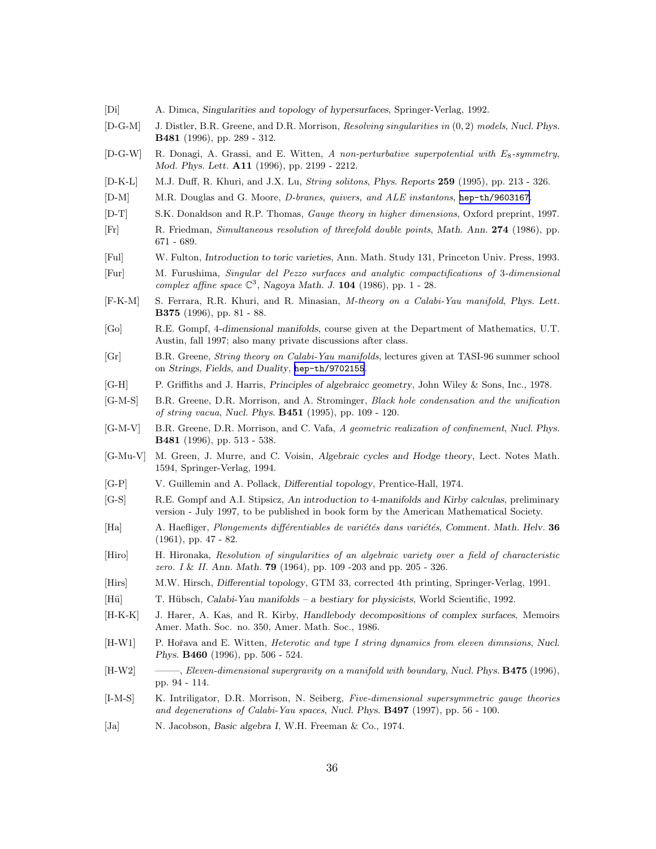- [Di] A. Dimca, Singularities and topology of hypersurfaces, Springer-Verlag, 1992.
- [D-G-M] J. Distler, B.R. Greene, and D.R. Morrison, Resolving singularities in (0, 2) models, Nucl. Phys. B481 (1996), pp. 289 - 312.
- [D-G-W] R. Donagi, A. Grassi, and E. Witten, A non-perturbative superpotential with E<sub>8</sub>-symmetry, Mod. Phys. Lett. A11 (1996), pp. 2199 - 2212.
- [D-K-L] M.J. Duff, R. Khuri, and J.X. Lu, String solitons, Phys. Reports 259 (1995), pp. 213 326.
- [D-M] M.R. Douglas and G. Moore, D-branes, quivers, and ALE instantons, [hep-th/9603167](http://arxiv.org/abs/hep-th/9603167).
- [D-T] S.K. Donaldson and R.P. Thomas, Gauge theory in higher dimensions, Oxford preprint, 1997.
- [Fr] R. Friedman, Simultaneous resolution of threefold double points, Math. Ann. 274 (1986), pp. 671 - 689.
- [Ful] W. Fulton, Introduction to toric varieties, Ann. Math. Study 131, Princeton Univ. Press, 1993.
- [Fur] M. Furushima, Singular del Pezzo surfaces and analytic compactifications of 3-dimensional complex affine space  $\mathbb{C}^3$ , Nagoya Math. J. 104 (1986), pp. 1 - 28.
- [F-K-M] S. Ferrara, R.R. Khuri, and R. Minasian, M-theory on a Calabi-Yau manifold, Phys. Lett. B375 (1996), pp. 81 - 88.
- [Go] R.E. Gompf, 4-dimensional manifolds, course given at the Department of Mathematics, U.T. Austin, fall 1997; also many private discussions after class.
- [Gr] B.R. Greene, String theory on Calabi-Yau manifolds, lectures given at TASI-96 summer school on Strings, Fields, and Duality, [hep-th/9702155](http://arxiv.org/abs/hep-th/9702155).
- [G-H] P. Griffiths and J. Harris, Principles of algebraicc geometry, John Wiley & Sons, Inc., 1978.
- [G-M-S] B.R. Greene, D.R. Morrison, and A. Strominger, Black hole condensation and the unification of string vacua, Nucl. Phys. B451 (1995), pp. 109 - 120.
- [G-M-V] B.R. Greene, D.R. Morrison, and C. Vafa, A geometric realization of confinement, Nucl. Phys. B481 (1996), pp. 513 - 538.
- [G-Mu-V] M. Green, J. Murre, and C. Voisin, Algebraic cycles and Hodge theory, Lect. Notes Math. 1594, Springer-Verlag, 1994.
- [G-P] V. Guillemin and A. Pollack, Differential topology, Prentice-Hall, 1974.
- [G-S] R.E. Gompf and A.I. Stipsicz, An introduction to 4-manifolds and Kirby calculas, preliminary version - July 1997, to be published in book form by the American Mathematical Society.
- [Ha]  $A.$  Haefliger, *Plongements différentiables de variétés dans variétés*, Comment. Math. Helv. 36 (1961), pp. 47 - 82.
- [Hiro] H. Hironaka, Resolution of singularities of an algebraic variety over a field of characteristic zero. I & II. Ann. Math. **79** (1964), pp. 109 -203 and pp. 205 - 326.
- [Hirs] M.W. Hirsch, Differential topology, GTM 33, corrected 4th printing, Springer-Verlag, 1991.
- [Hü] T. Hübsch, Calabi-Yau manifolds a bestiary for physicists, World Scientific, 1992.
- [H-K-K] J. Harer, A. Kas, and R. Kirby, Handlebody decompositions of complex surfaces, Memoirs Amer. Math. Soc. no. 350, Amer. Math. Soc., 1986.
- [H-W1] P. Hořava and E. Witten, *Heterotic and type I string dynamics from eleven dimnsions*, Nucl. Phys. B460 (1996), pp. 506 - 524.
- [H-W2] ——, Eleven-dimensional supergravity on a manifold with boundary, Nucl. Phys. **B475** (1996), pp. 94 - 114.
- [I-M-S] K. Intriligator, D.R. Morrison, N. Seiberg, Five-dimensional supersymmetric gauge theories and degenerations of Calabi-Yau spaces, Nucl. Phys. B497 (1997), pp. 56 - 100.
- [Ja] N. Jacobson, Basic algebra I, W.H. Freeman & Co., 1974.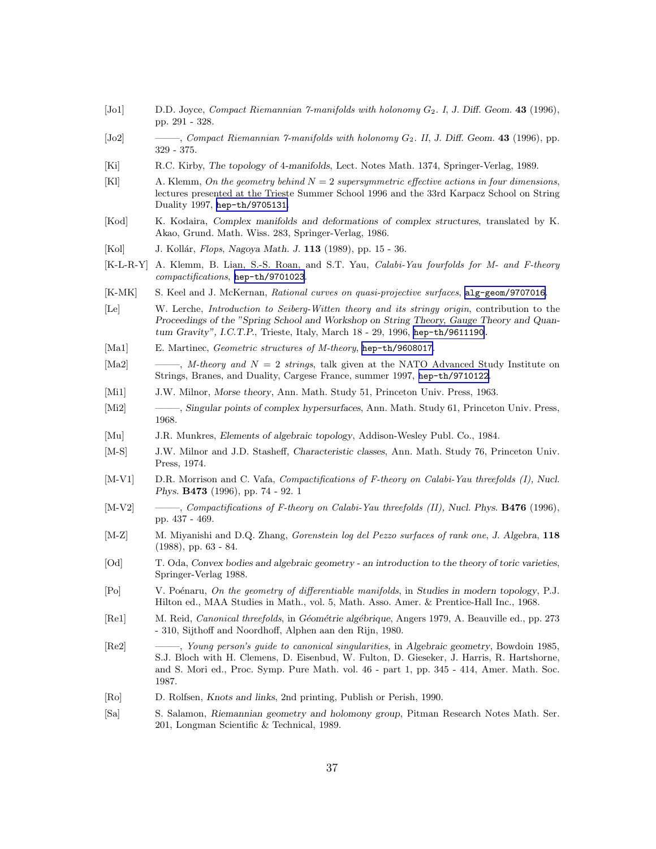- $[Jo1]$  D.D. Joyce, Compact Riemannian 7-manifolds with holonomy  $G_2$ . I, J. Diff. Geom. 43 (1996), pp. 291 - 328.
- [Jo2] ———, Compact Riemannian 7-manifolds with holonomy  $G_2$ . II, J. Diff. Geom. 43 (1996), pp. 329 - 375.
- [Ki] R.C. Kirby, The topology of 4-manifolds, Lect. Notes Math. 1374, Springer-Verlag, 1989.
- [Kl]  $\qquad \qquad$  A. Klemm, On the geometry behind  $N = 2$  supersymmetric effective actions in four dimensions, lectures presented at the Trieste Summer School 1996 and the 33rd Karpacz School on String Duality 1997, [hep-th/9705131](http://arxiv.org/abs/hep-th/9705131).
- [Kod] K. Kodaira, Complex manifolds and deformations of complex structures, translated by K. Akao, Grund. Math. Wiss. 283, Springer-Verlag, 1986.
- [Kol] J. Kollár, *Flops*, Nagoya Math. J. **113** (1989), pp. 15 36.
- [K-L-R-Y] A. Klemm, B. Lian, S.-S. Roan, and S.T. Yau, *Calabi-Yau fourfolds for M- and F-theory* compactifications, [hep-th/9701023](http://arxiv.org/abs/hep-th/9701023).
- [K-MK] S. Keel and J. McKernan, Rational curves on quasi-projective surfaces, [alg-geom/9707016](http://arxiv.org/abs/alg-geom/9707016).
- [Le] W. Lerche, Introduction to Seiberg-Witten theory and its stringy origin, contribution to the Proceedings of the "Spring School and Workshop on String Theory, Gauge Theory and Quantum Gravity", I.C.T.P., Trieste, Italy, March 18 - 29, 1996, [hep-th/9611190.](http://arxiv.org/abs/hep-th/9611190)
- [Ma1] E. Martinec, *Geometric structures of M-theory*, [hep-th/9608017](http://arxiv.org/abs/hep-th/9608017).
- [Ma2]  $\qquad \qquad -\qquad \qquad ,$  *M*-theory and  $N = 2$  strings, talk given at the NATO Advanced Study Institute on Strings, Branes, and Duality, Cargese France, summer 1997, [hep-th/9710122](http://arxiv.org/abs/hep-th/9710122).
- [Mi1] J.W. Milnor, Morse theory, Ann. Math. Study 51, Princeton Univ. Press, 1963.
- [Mi2] ——–, Singular points of complex hypersurfaces, Ann. Math. Study 61, Princeton Univ. Press, 1968.
- [Mu] J.R. Munkres, Elements of algebraic topology, Addison-Wesley Publ. Co., 1984.
- [M-S] J.W. Milnor and J.D. Stasheff, Characteristic classes, Ann. Math. Study 76, Princeton Univ. Press, 1974.
- [M-V1] D.R. Morrison and C. Vafa, Compactifications of F-theory on Calabi-Yau threefolds (I), Nucl. Phys. B473 (1996), pp. 74 - 92. 1
- [M-V2] ——–, Compactifications of F-theory on Calabi-Yau threefolds (II), Nucl. Phys. **B476** (1996), pp. 437 - 469.
- [M-Z] M. Miyanishi and D.Q. Zhang, Gorenstein log del Pezzo surfaces of rank one, J. Algebra, 118 (1988), pp. 63 - 84.
- [Od] T. Oda, Convex bodies and algebraic geometry an introduction to the theory of toric varieties, Springer-Verlag 1988.
- [Po] V. Poénaru, On the geometry of differentiable manifolds, in Studies in modern topology, P.J. Hilton ed., MAA Studies in Math., vol. 5, Math. Asso. Amer. & Prentice-Hall Inc., 1968.
- [Re1] M. Reid, *Canonical threefolds*, in Géométrie algébrique, Angers 1979, A. Beauville ed., pp. 273 - 310, Sijthoff and Noordhoff, Alphen aan den Rijn, 1980.
- [Re2] ——–, Young person's guide to canonical singularities, in Algebraic geometry, Bowdoin 1985, S.J. Bloch with H. Clemens, D. Eisenbud, W. Fulton, D. Gieseker, J. Harris, R. Hartshorne, and S. Mori ed., Proc. Symp. Pure Math. vol. 46 - part 1, pp. 345 - 414, Amer. Math. Soc. 1987.
- [Ro] D. Rolfsen, Knots and links, 2nd printing, Publish or Perish, 1990.
- [Sa] S. Salamon, Riemannian geometry and holomony group, Pitman Research Notes Math. Ser. 201, Longman Scientific & Technical, 1989.